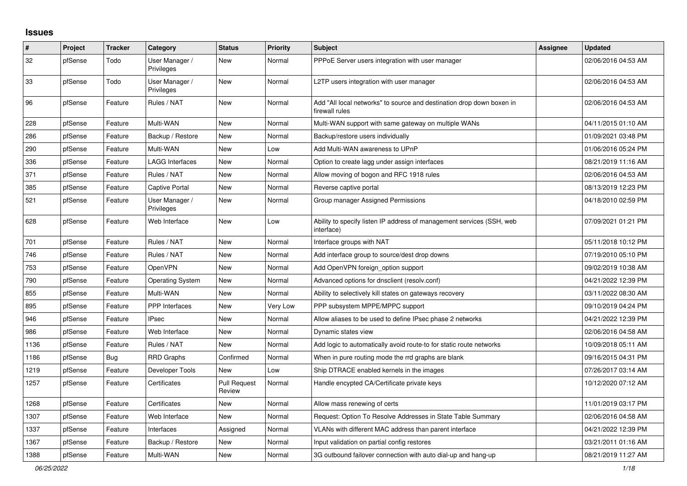## **Issues**

| #    | Project | <b>Tracker</b> | Category                     | <b>Status</b>                 | <b>Priority</b> | <b>Subject</b>                                                                          | <b>Assignee</b> | <b>Updated</b>      |
|------|---------|----------------|------------------------------|-------------------------------|-----------------|-----------------------------------------------------------------------------------------|-----------------|---------------------|
| 32   | pfSense | Todo           | User Manager /<br>Privileges | <b>New</b>                    | Normal          | PPPoE Server users integration with user manager                                        |                 | 02/06/2016 04:53 AM |
| 33   | pfSense | Todo           | User Manager /<br>Privileges | <b>New</b>                    | Normal          | L2TP users integration with user manager                                                |                 | 02/06/2016 04:53 AM |
| 96   | pfSense | Feature        | Rules / NAT                  | <b>New</b>                    | Normal          | Add "All local networks" to source and destination drop down boxen in<br>firewall rules |                 | 02/06/2016 04:53 AM |
| 228  | pfSense | Feature        | Multi-WAN                    | <b>New</b>                    | Normal          | Multi-WAN support with same gateway on multiple WANs                                    |                 | 04/11/2015 01:10 AM |
| 286  | pfSense | Feature        | Backup / Restore             | <b>New</b>                    | Normal          | Backup/restore users individually                                                       |                 | 01/09/2021 03:48 PM |
| 290  | pfSense | Feature        | Multi-WAN                    | New                           | Low             | Add Multi-WAN awareness to UPnP                                                         |                 | 01/06/2016 05:24 PM |
| 336  | pfSense | Feature        | LAGG Interfaces              | New                           | Normal          | Option to create lagg under assign interfaces                                           |                 | 08/21/2019 11:16 AM |
| 371  | pfSense | Feature        | Rules / NAT                  | New                           | Normal          | Allow moving of bogon and RFC 1918 rules                                                |                 | 02/06/2016 04:53 AM |
| 385  | pfSense | Feature        | <b>Captive Portal</b>        | <b>New</b>                    | Normal          | Reverse captive portal                                                                  |                 | 08/13/2019 12:23 PM |
| 521  | pfSense | Feature        | User Manager /<br>Privileges | <b>New</b>                    | Normal          | Group manager Assigned Permissions                                                      |                 | 04/18/2010 02:59 PM |
| 628  | pfSense | Feature        | Web Interface                | <b>New</b>                    | Low             | Ability to specify listen IP address of management services (SSH, web<br>interface)     |                 | 07/09/2021 01:21 PM |
| 701  | pfSense | Feature        | Rules / NAT                  | New                           | Normal          | Interface groups with NAT                                                               |                 | 05/11/2018 10:12 PM |
| 746  | pfSense | Feature        | Rules / NAT                  | <b>New</b>                    | Normal          | Add interface group to source/dest drop downs                                           |                 | 07/19/2010 05:10 PM |
| 753  | pfSense | Feature        | OpenVPN                      | <b>New</b>                    | Normal          | Add OpenVPN foreign_option support                                                      |                 | 09/02/2019 10:38 AM |
| 790  | pfSense | Feature        | <b>Operating System</b>      | <b>New</b>                    | Normal          | Advanced options for dnsclient (resolv.conf)                                            |                 | 04/21/2022 12:39 PM |
| 855  | pfSense | Feature        | Multi-WAN                    | <b>New</b>                    | Normal          | Ability to selectively kill states on gateways recovery                                 |                 | 03/11/2022 08:30 AM |
| 895  | pfSense | Feature        | PPP Interfaces               | <b>New</b>                    | Very Low        | PPP subsystem MPPE/MPPC support                                                         |                 | 09/10/2019 04:24 PM |
| 946  | pfSense | Feature        | <b>IPsec</b>                 | <b>New</b>                    | Normal          | Allow aliases to be used to define IPsec phase 2 networks                               |                 | 04/21/2022 12:39 PM |
| 986  | pfSense | Feature        | Web Interface                | New                           | Normal          | Dynamic states view                                                                     |                 | 02/06/2016 04:58 AM |
| 1136 | pfSense | Feature        | Rules / NAT                  | New                           | Normal          | Add logic to automatically avoid route-to for static route networks                     |                 | 10/09/2018 05:11 AM |
| 1186 | pfSense | <b>Bug</b>     | <b>RRD Graphs</b>            | Confirmed                     | Normal          | When in pure routing mode the rrd graphs are blank                                      |                 | 09/16/2015 04:31 PM |
| 1219 | pfSense | Feature        | Developer Tools              | <b>New</b>                    | Low             | Ship DTRACE enabled kernels in the images                                               |                 | 07/26/2017 03:14 AM |
| 1257 | pfSense | Feature        | Certificates                 | <b>Pull Request</b><br>Review | Normal          | Handle encypted CA/Certificate private keys                                             |                 | 10/12/2020 07:12 AM |
| 1268 | pfSense | Feature        | Certificates                 | <b>New</b>                    | Normal          | Allow mass renewing of certs                                                            |                 | 11/01/2019 03:17 PM |
| 1307 | pfSense | Feature        | Web Interface                | <b>New</b>                    | Normal          | Request: Option To Resolve Addresses in State Table Summary                             |                 | 02/06/2016 04:58 AM |
| 1337 | pfSense | Feature        | Interfaces                   | Assigned                      | Normal          | VLANs with different MAC address than parent interface                                  |                 | 04/21/2022 12:39 PM |
| 1367 | pfSense | Feature        | Backup / Restore             | <b>New</b>                    | Normal          | Input validation on partial config restores                                             |                 | 03/21/2011 01:16 AM |
| 1388 | pfSense | Feature        | Multi-WAN                    | New                           | Normal          | 3G outbound failover connection with auto dial-up and hang-up                           |                 | 08/21/2019 11:27 AM |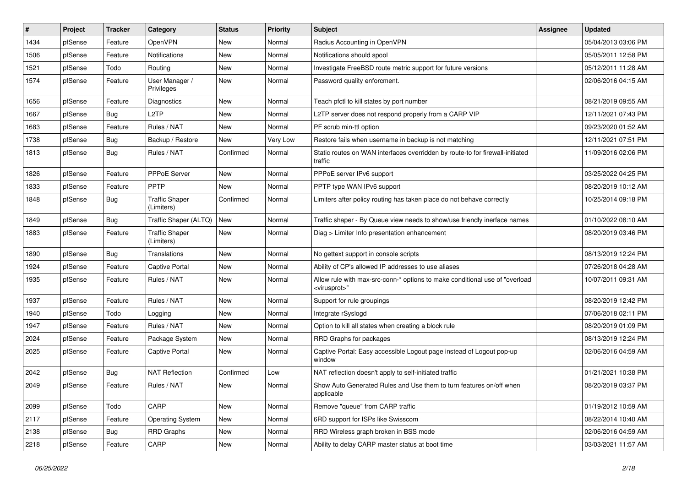| ∦    | Project | <b>Tracker</b> | Category                            | <b>Status</b> | <b>Priority</b> | <b>Subject</b>                                                                                          | <b>Assignee</b> | <b>Updated</b>      |
|------|---------|----------------|-------------------------------------|---------------|-----------------|---------------------------------------------------------------------------------------------------------|-----------------|---------------------|
| 1434 | pfSense | Feature        | OpenVPN                             | New           | Normal          | Radius Accounting in OpenVPN                                                                            |                 | 05/04/2013 03:06 PM |
| 1506 | pfSense | Feature        | <b>Notifications</b>                | New           | Normal          | Notifications should spool                                                                              |                 | 05/05/2011 12:58 PM |
| 1521 | pfSense | Todo           | Routing                             | New           | Normal          | Investigate FreeBSD route metric support for future versions                                            |                 | 05/12/2011 11:28 AM |
| 1574 | pfSense | Feature        | User Manager /<br>Privileges        | New           | Normal          | Password quality enforcment.                                                                            |                 | 02/06/2016 04:15 AM |
| 1656 | pfSense | Feature        | <b>Diagnostics</b>                  | <b>New</b>    | Normal          | Teach pfctl to kill states by port number                                                               |                 | 08/21/2019 09:55 AM |
| 1667 | pfSense | <b>Bug</b>     | L <sub>2</sub> TP                   | <b>New</b>    | Normal          | L2TP server does not respond properly from a CARP VIP                                                   |                 | 12/11/2021 07:43 PM |
| 1683 | pfSense | Feature        | Rules / NAT                         | New           | Normal          | PF scrub min-ttl option                                                                                 |                 | 09/23/2020 01:52 AM |
| 1738 | pfSense | <b>Bug</b>     | Backup / Restore                    | <b>New</b>    | Very Low        | Restore fails when username in backup is not matching                                                   |                 | 12/11/2021 07:51 PM |
| 1813 | pfSense | <b>Bug</b>     | Rules / NAT                         | Confirmed     | Normal          | Static routes on WAN interfaces overridden by route-to for firewall-initiated<br>traffic                |                 | 11/09/2016 02:06 PM |
| 1826 | pfSense | Feature        | PPPoE Server                        | New           | Normal          | PPPoE server IPv6 support                                                                               |                 | 03/25/2022 04:25 PM |
| 1833 | pfSense | Feature        | PPTP                                | <b>New</b>    | Normal          | PPTP type WAN IPv6 support                                                                              |                 | 08/20/2019 10:12 AM |
| 1848 | pfSense | <b>Bug</b>     | <b>Traffic Shaper</b><br>(Limiters) | Confirmed     | Normal          | Limiters after policy routing has taken place do not behave correctly                                   |                 | 10/25/2014 09:18 PM |
| 1849 | pfSense | <b>Bug</b>     | Traffic Shaper (ALTQ)               | <b>New</b>    | Normal          | Traffic shaper - By Queue view needs to show/use friendly inerface names                                |                 | 01/10/2022 08:10 AM |
| 1883 | pfSense | Feature        | <b>Traffic Shaper</b><br>(Limiters) | New           | Normal          | Diag > Limiter Info presentation enhancement                                                            |                 | 08/20/2019 03:46 PM |
| 1890 | pfSense | <b>Bug</b>     | Translations                        | New           | Normal          | No gettext support in console scripts                                                                   |                 | 08/13/2019 12:24 PM |
| 1924 | pfSense | Feature        | <b>Captive Portal</b>               | <b>New</b>    | Normal          | Ability of CP's allowed IP addresses to use aliases                                                     |                 | 07/26/2018 04:28 AM |
| 1935 | pfSense | Feature        | Rules / NAT                         | <b>New</b>    | Normal          | Allow rule with max-src-conn-* options to make conditional use of "overload<br><virusprot>"</virusprot> |                 | 10/07/2011 09:31 AM |
| 1937 | pfSense | Feature        | Rules / NAT                         | <b>New</b>    | Normal          | Support for rule groupings                                                                              |                 | 08/20/2019 12:42 PM |
| 1940 | pfSense | Todo           | Logging                             | New           | Normal          | Integrate rSyslogd                                                                                      |                 | 07/06/2018 02:11 PM |
| 1947 | pfSense | Feature        | Rules / NAT                         | <b>New</b>    | Normal          | Option to kill all states when creating a block rule                                                    |                 | 08/20/2019 01:09 PM |
| 2024 | pfSense | Feature        | Package System                      | New           | Normal          | RRD Graphs for packages                                                                                 |                 | 08/13/2019 12:24 PM |
| 2025 | pfSense | Feature        | <b>Captive Portal</b>               | New           | Normal          | Captive Portal: Easy accessible Logout page instead of Logout pop-up<br>window                          |                 | 02/06/2016 04:59 AM |
| 2042 | pfSense | <b>Bug</b>     | <b>NAT Reflection</b>               | Confirmed     | Low             | NAT reflection doesn't apply to self-initiated traffic                                                  |                 | 01/21/2021 10:38 PM |
| 2049 | pfSense | Feature        | Rules / NAT                         | New           | Normal          | Show Auto Generated Rules and Use them to turn features on/off when<br>applicable                       |                 | 08/20/2019 03:37 PM |
| 2099 | pfSense | Todo           | CARP                                | New           | Normal          | Remove "queue" from CARP traffic                                                                        |                 | 01/19/2012 10:59 AM |
| 2117 | pfSense | Feature        | <b>Operating System</b>             | New           | Normal          | 6RD support for ISPs like Swisscom                                                                      |                 | 08/22/2014 10:40 AM |
| 2138 | pfSense | <b>Bug</b>     | <b>RRD Graphs</b>                   | New           | Normal          | RRD Wireless graph broken in BSS mode                                                                   |                 | 02/06/2016 04:59 AM |
| 2218 | pfSense | Feature        | CARP                                | New           | Normal          | Ability to delay CARP master status at boot time                                                        |                 | 03/03/2021 11:57 AM |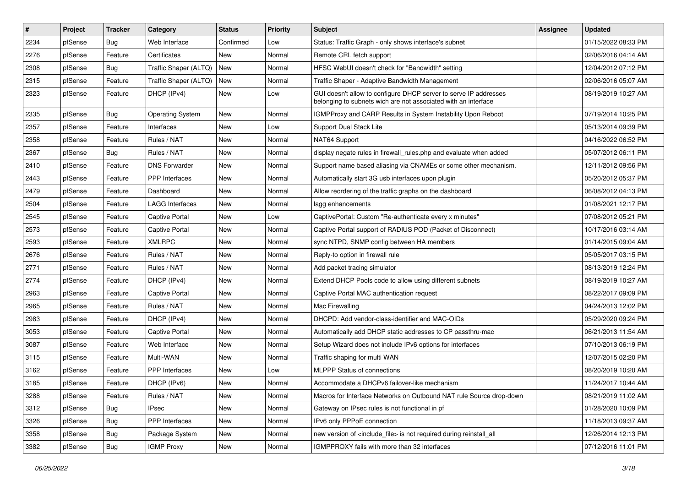| $\vert$ # | Project | <b>Tracker</b> | Category                | <b>Status</b> | <b>Priority</b> | Subject                                                                                                                            | <b>Assignee</b> | <b>Updated</b>      |
|-----------|---------|----------------|-------------------------|---------------|-----------------|------------------------------------------------------------------------------------------------------------------------------------|-----------------|---------------------|
| 2234      | pfSense | Bug            | Web Interface           | Confirmed     | Low             | Status: Traffic Graph - only shows interface's subnet                                                                              |                 | 01/15/2022 08:33 PM |
| 2276      | pfSense | Feature        | Certificates            | <b>New</b>    | Normal          | Remote CRL fetch support                                                                                                           |                 | 02/06/2016 04:14 AM |
| 2308      | pfSense | <b>Bug</b>     | Traffic Shaper (ALTQ)   | New           | Normal          | HFSC WebUI doesn't check for "Bandwidth" setting                                                                                   |                 | 12/04/2012 07:12 PM |
| 2315      | pfSense | Feature        | Traffic Shaper (ALTQ)   | New           | Normal          | Traffic Shaper - Adaptive Bandwidth Management                                                                                     |                 | 02/06/2016 05:07 AM |
| 2323      | pfSense | Feature        | DHCP (IPv4)             | <b>New</b>    | Low             | GUI doesn't allow to configure DHCP server to serve IP addresses<br>belonging to subnets wich are not associated with an interface |                 | 08/19/2019 10:27 AM |
| 2335      | pfSense | Bug            | <b>Operating System</b> | New           | Normal          | IGMPProxy and CARP Results in System Instability Upon Reboot                                                                       |                 | 07/19/2014 10:25 PM |
| 2357      | pfSense | Feature        | Interfaces              | <b>New</b>    | Low             | Support Dual Stack Lite                                                                                                            |                 | 05/13/2014 09:39 PM |
| 2358      | pfSense | Feature        | Rules / NAT             | New           | Normal          | NAT64 Support                                                                                                                      |                 | 04/16/2022 06:52 PM |
| 2367      | pfSense | <b>Bug</b>     | Rules / NAT             | <b>New</b>    | Normal          | display negate rules in firewall_rules.php and evaluate when added                                                                 |                 | 05/07/2012 06:11 PM |
| 2410      | pfSense | Feature        | <b>DNS Forwarder</b>    | New           | Normal          | Support name based aliasing via CNAMEs or some other mechanism.                                                                    |                 | 12/11/2012 09:56 PM |
| 2443      | pfSense | Feature        | <b>PPP</b> Interfaces   | <b>New</b>    | Normal          | Automatically start 3G usb interfaces upon plugin                                                                                  |                 | 05/20/2012 05:37 PM |
| 2479      | pfSense | Feature        | Dashboard               | <b>New</b>    | Normal          | Allow reordering of the traffic graphs on the dashboard                                                                            |                 | 06/08/2012 04:13 PM |
| 2504      | pfSense | Feature        | <b>LAGG Interfaces</b>  | New           | Normal          | lagg enhancements                                                                                                                  |                 | 01/08/2021 12:17 PM |
| 2545      | pfSense | Feature        | <b>Captive Portal</b>   | <b>New</b>    | Low             | CaptivePortal: Custom "Re-authenticate every x minutes"                                                                            |                 | 07/08/2012 05:21 PM |
| 2573      | pfSense | Feature        | <b>Captive Portal</b>   | New           | Normal          | Captive Portal support of RADIUS POD (Packet of Disconnect)                                                                        |                 | 10/17/2016 03:14 AM |
| 2593      | pfSense | Feature        | <b>XMLRPC</b>           | <b>New</b>    | Normal          | sync NTPD, SNMP config between HA members                                                                                          |                 | 01/14/2015 09:04 AM |
| 2676      | pfSense | Feature        | Rules / NAT             | <b>New</b>    | Normal          | Reply-to option in firewall rule                                                                                                   |                 | 05/05/2017 03:15 PM |
| 2771      | pfSense | Feature        | Rules / NAT             | New           | Normal          | Add packet tracing simulator                                                                                                       |                 | 08/13/2019 12:24 PM |
| 2774      | pfSense | Feature        | DHCP (IPv4)             | New           | Normal          | Extend DHCP Pools code to allow using different subnets                                                                            |                 | 08/19/2019 10:27 AM |
| 2963      | pfSense | Feature        | <b>Captive Portal</b>   | New           | Normal          | Captive Portal MAC authentication request                                                                                          |                 | 08/22/2017 09:09 PM |
| 2965      | pfSense | Feature        | Rules / NAT             | <b>New</b>    | Normal          | Mac Firewalling                                                                                                                    |                 | 04/24/2013 12:02 PM |
| 2983      | pfSense | Feature        | DHCP (IPv4)             | New           | Normal          | DHCPD: Add vendor-class-identifier and MAC-OIDs                                                                                    |                 | 05/29/2020 09:24 PM |
| 3053      | pfSense | Feature        | <b>Captive Portal</b>   | New           | Normal          | Automatically add DHCP static addresses to CP passthru-mac                                                                         |                 | 06/21/2013 11:54 AM |
| 3087      | pfSense | Feature        | Web Interface           | <b>New</b>    | Normal          | Setup Wizard does not include IPv6 options for interfaces                                                                          |                 | 07/10/2013 06:19 PM |
| 3115      | pfSense | Feature        | Multi-WAN               | <b>New</b>    | Normal          | Traffic shaping for multi WAN                                                                                                      |                 | 12/07/2015 02:20 PM |
| 3162      | pfSense | Feature        | PPP Interfaces          | New           | Low             | <b>MLPPP Status of connections</b>                                                                                                 |                 | 08/20/2019 10:20 AM |
| 3185      | pfSense | Feature        | DHCP (IPv6)             | New           | Normal          | Accommodate a DHCPv6 failover-like mechanism                                                                                       |                 | 11/24/2017 10:44 AM |
| 3288      | pfSense | Feature        | Rules / NAT             | New           | Normal          | Macros for Interface Networks on Outbound NAT rule Source drop-down                                                                |                 | 08/21/2019 11:02 AM |
| 3312      | pfSense | Bug            | <b>IPsec</b>            | New           | Normal          | Gateway on IPsec rules is not functional in pf                                                                                     |                 | 01/28/2020 10:09 PM |
| 3326      | pfSense | <b>Bug</b>     | PPP Interfaces          | New           | Normal          | IPv6 only PPPoE connection                                                                                                         |                 | 11/18/2013 09:37 AM |
| 3358      | pfSense | <b>Bug</b>     | Package System          | New           | Normal          | new version of <include_file> is not required during reinstall_all</include_file>                                                  |                 | 12/26/2014 12:13 PM |
| 3382      | pfSense | <b>Bug</b>     | <b>IGMP Proxy</b>       | New           | Normal          | IGMPPROXY fails with more than 32 interfaces                                                                                       |                 | 07/12/2016 11:01 PM |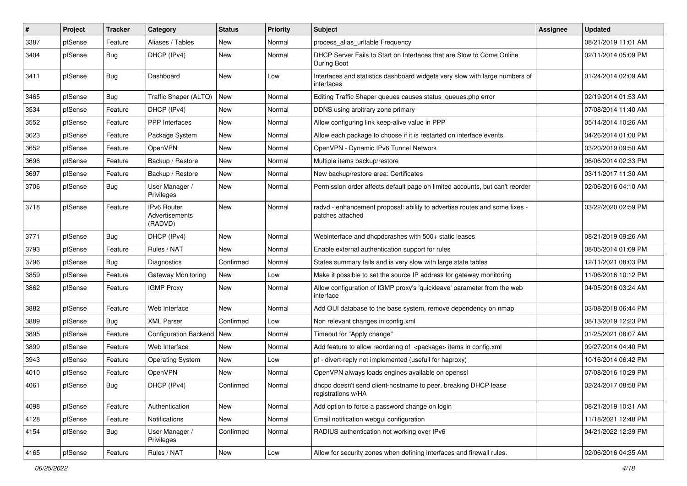| $\sharp$ | Project | <b>Tracker</b> | Category                                 | <b>Status</b> | <b>Priority</b> | <b>Subject</b>                                                                                 | <b>Assignee</b> | <b>Updated</b>      |
|----------|---------|----------------|------------------------------------------|---------------|-----------------|------------------------------------------------------------------------------------------------|-----------------|---------------------|
| 3387     | pfSense | Feature        | Aliases / Tables                         | New           | Normal          | process_alias_urltable Frequency                                                               |                 | 08/21/2019 11:01 AM |
| 3404     | pfSense | <b>Bug</b>     | DHCP (IPv4)                              | New           | Normal          | DHCP Server Fails to Start on Interfaces that are Slow to Come Online<br>During Boot           |                 | 02/11/2014 05:09 PM |
| 3411     | pfSense | Bug            | Dashboard                                | New           | Low             | Interfaces and statistics dashboard widgets very slow with large numbers of<br>interfaces      |                 | 01/24/2014 02:09 AM |
| 3465     | pfSense | <b>Bug</b>     | Traffic Shaper (ALTQ)                    | <b>New</b>    | Normal          | Editing Traffic Shaper queues causes status_queues.php error                                   |                 | 02/19/2014 01:53 AM |
| 3534     | pfSense | Feature        | DHCP (IPv4)                              | New           | Normal          | DDNS using arbitrary zone primary                                                              |                 | 07/08/2014 11:40 AM |
| 3552     | pfSense | Feature        | <b>PPP</b> Interfaces                    | New           | Normal          | Allow configuring link keep-alive value in PPP                                                 |                 | 05/14/2014 10:26 AM |
| 3623     | pfSense | Feature        | Package System                           | New           | Normal          | Allow each package to choose if it is restarted on interface events                            |                 | 04/26/2014 01:00 PM |
| 3652     | pfSense | Feature        | OpenVPN                                  | <b>New</b>    | Normal          | OpenVPN - Dynamic IPv6 Tunnel Network                                                          |                 | 03/20/2019 09:50 AM |
| 3696     | pfSense | Feature        | Backup / Restore                         | New           | Normal          | Multiple items backup/restore                                                                  |                 | 06/06/2014 02:33 PM |
| 3697     | pfSense | Feature        | Backup / Restore                         | New           | Normal          | New backup/restore area: Certificates                                                          |                 | 03/11/2017 11:30 AM |
| 3706     | pfSense | <b>Bug</b>     | User Manager /<br>Privileges             | New           | Normal          | Permission order affects default page on limited accounts, but can't reorder                   |                 | 02/06/2016 04:10 AM |
| 3718     | pfSense | Feature        | IPv6 Router<br>Advertisements<br>(RADVD) | New           | Normal          | radvd - enhancement proposal: ability to advertise routes and some fixes -<br>patches attached |                 | 03/22/2020 02:59 PM |
| 3771     | pfSense | <b>Bug</b>     | DHCP (IPv4)                              | New           | Normal          | Webinterface and dhcpdcrashes with 500+ static leases                                          |                 | 08/21/2019 09:26 AM |
| 3793     | pfSense | Feature        | Rules / NAT                              | New           | Normal          | Enable external authentication support for rules                                               |                 | 08/05/2014 01:09 PM |
| 3796     | pfSense | <b>Bug</b>     | <b>Diagnostics</b>                       | Confirmed     | Normal          | States summary fails and is very slow with large state tables                                  |                 | 12/11/2021 08:03 PM |
| 3859     | pfSense | Feature        | Gateway Monitoring                       | New           | Low             | Make it possible to set the source IP address for gateway monitoring                           |                 | 11/06/2016 10:12 PM |
| 3862     | pfSense | Feature        | <b>IGMP Proxy</b>                        | New           | Normal          | Allow configuration of IGMP proxy's 'quickleave' parameter from the web<br>interface           |                 | 04/05/2016 03:24 AM |
| 3882     | pfSense | Feature        | Web Interface                            | <b>New</b>    | Normal          | Add OUI database to the base system, remove dependency on nmap                                 |                 | 03/08/2018 06:44 PM |
| 3889     | pfSense | Bug            | <b>XML Parser</b>                        | Confirmed     | Low             | Non relevant changes in config.xml                                                             |                 | 08/13/2019 12:23 PM |
| 3895     | pfSense | Feature        | <b>Configuration Backend</b>             | <b>New</b>    | Normal          | Timeout for "Apply change"                                                                     |                 | 01/25/2021 08:07 AM |
| 3899     | pfSense | Feature        | Web Interface                            | New           | Normal          | Add feature to allow reordering of <package> items in config.xml</package>                     |                 | 09/27/2014 04:40 PM |
| 3943     | pfSense | Feature        | <b>Operating System</b>                  | New           | Low             | pf - divert-reply not implemented (usefull for haproxy)                                        |                 | 10/16/2014 06:42 PM |
| 4010     | pfSense | Feature        | OpenVPN                                  | <b>New</b>    | Normal          | OpenVPN always loads engines available on openssl                                              |                 | 07/08/2016 10:29 PM |
| 4061     | pfSense | <b>Bug</b>     | DHCP (IPv4)                              | Confirmed     | Normal          | dhcpd doesn't send client-hostname to peer, breaking DHCP lease<br>registrations w/HA          |                 | 02/24/2017 08:58 PM |
| 4098     | pfSense | Feature        | Authentication                           | New           | Normal          | Add option to force a password change on login                                                 |                 | 08/21/2019 10:31 AM |
| 4128     | pfSense | Feature        | Notifications                            | New           | Normal          | Email notification webgui configuration                                                        |                 | 11/18/2021 12:48 PM |
| 4154     | pfSense | <b>Bug</b>     | User Manager /<br>Privileges             | Confirmed     | Normal          | RADIUS authentication not working over IPv6                                                    |                 | 04/21/2022 12:39 PM |
| 4165     | pfSense | Feature        | Rules / NAT                              | New           | Low             | Allow for security zones when defining interfaces and firewall rules.                          |                 | 02/06/2016 04:35 AM |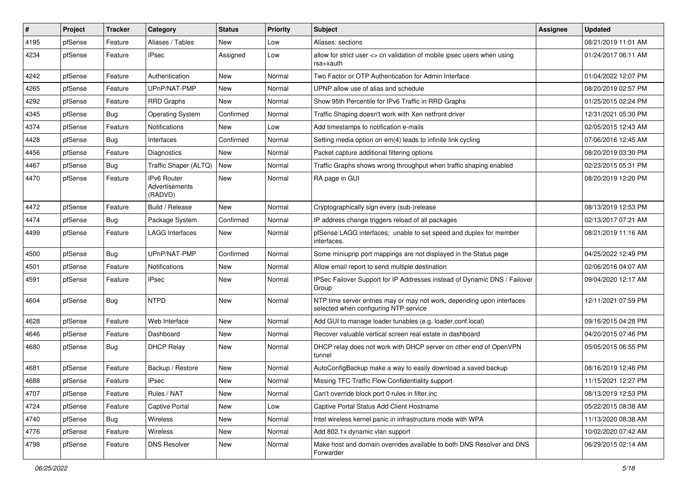| #    | Project | <b>Tracker</b> | Category                                 | <b>Status</b> | <b>Priority</b> | <b>Subject</b>                                                                                                  | <b>Assignee</b> | <b>Updated</b>      |
|------|---------|----------------|------------------------------------------|---------------|-----------------|-----------------------------------------------------------------------------------------------------------------|-----------------|---------------------|
| 4195 | pfSense | Feature        | Aliases / Tables                         | New           | Low             | Aliases: sections                                                                                               |                 | 08/21/2019 11:01 AM |
| 4234 | pfSense | Feature        | <b>IPsec</b>                             | Assigned      | Low             | allow for strict user <> cn validation of mobile ipsec users when using<br>rsa+xauth                            |                 | 01/24/2017 06:11 AM |
| 4242 | pfSense | Feature        | Authentication                           | <b>New</b>    | Normal          | Two Factor or OTP Authentication for Admin Interface                                                            |                 | 01/04/2022 12:07 PM |
| 4265 | pfSense | Feature        | UPnP/NAT-PMP                             | New           | Normal          | UPNP allow use of alias and schedule                                                                            |                 | 08/20/2019 02:57 PM |
| 4292 | pfSense | Feature        | <b>RRD Graphs</b>                        | <b>New</b>    | Normal          | Show 95th Percentile for IPv6 Traffic in RRD Graphs                                                             |                 | 01/25/2015 02:24 PM |
| 4345 | pfSense | Bug            | <b>Operating System</b>                  | Confirmed     | Normal          | Traffic Shaping doesn't work with Xen netfront driver                                                           |                 | 12/31/2021 05:30 PM |
| 4374 | pfSense | Feature        | <b>Notifications</b>                     | <b>New</b>    | Low             | Add timestamps to notification e-mails                                                                          |                 | 02/05/2015 12:43 AM |
| 4428 | pfSense | Bug            | Interfaces                               | Confirmed     | Normal          | Setting media option on em(4) leads to infinite link cycling                                                    |                 | 07/06/2016 12:45 AM |
| 4456 | pfSense | Feature        | <b>Diagnostics</b>                       | <b>New</b>    | Normal          | Packet capture additional filtering options                                                                     |                 | 08/20/2019 03:30 PM |
| 4467 | pfSense | Bug            | Traffic Shaper (ALTQ)                    | New           | Normal          | Traffic Graphs shows wrong throughput when traffic shaping enabled                                              |                 | 02/23/2015 05:31 PM |
| 4470 | pfSense | Feature        | IPv6 Router<br>Advertisements<br>(RADVD) | <b>New</b>    | Normal          | RA page in GUI                                                                                                  |                 | 08/20/2019 12:20 PM |
| 4472 | pfSense | Feature        | Build / Release                          | New           | Normal          | Cryptographically sign every (sub-)release                                                                      |                 | 08/13/2019 12:53 PM |
| 4474 | pfSense | <b>Bug</b>     | Package System                           | Confirmed     | Normal          | IP address change triggers reload of all packages                                                               |                 | 02/13/2017 07:21 AM |
| 4499 | pfSense | Feature        | <b>LAGG Interfaces</b>                   | New           | Normal          | pfSense LAGG interfaces; unable to set speed and duplex for member<br>interfaces.                               |                 | 08/21/2019 11:16 AM |
| 4500 | pfSense | Bug            | UPnP/NAT-PMP                             | Confirmed     | Normal          | Some miniupnp port mappings are not displayed in the Status page                                                |                 | 04/25/2022 12:49 PM |
| 4501 | pfSense | Feature        | <b>Notifications</b>                     | <b>New</b>    | Normal          | Allow email report to send multiple destination                                                                 |                 | 02/06/2016 04:07 AM |
| 4591 | pfSense | Feature        | <b>IPsec</b>                             | <b>New</b>    | Normal          | IPSec Failover Support for IP Addresses instead of Dynamic DNS / Failover<br>Group                              |                 | 09/04/2020 12:17 AM |
| 4604 | pfSense | <b>Bug</b>     | <b>NTPD</b>                              | New           | Normal          | NTP time server entries may or may not work, depending upon interfaces<br>selected when configuring NTP service |                 | 12/11/2021 07:59 PM |
| 4628 | pfSense | Feature        | Web Interface                            | New           | Normal          | Add GUI to manage loader tunables (e.g. loader.conf.local)                                                      |                 | 09/16/2015 04:28 PM |
| 4646 | pfSense | Feature        | Dashboard                                | New           | Normal          | Recover valuable vertical screen real estate in dashboard                                                       |                 | 04/20/2015 07:46 PM |
| 4680 | pfSense | <b>Bug</b>     | <b>DHCP Relav</b>                        | New           | Normal          | DHCP relay does not work with DHCP server on other end of OpenVPN<br>tunnel                                     |                 | 05/05/2015 06:55 PM |
| 4681 | pfSense | Feature        | Backup / Restore                         | <b>New</b>    | Normal          | AutoConfigBackup make a way to easily download a saved backup                                                   |                 | 08/16/2019 12:46 PM |
| 4688 | pfSense | Feature        | <b>IPsec</b>                             | New           | Normal          | Missing TFC Traffic Flow Confidentiality support                                                                |                 | 11/15/2021 12:27 PM |
| 4707 | pfSense | Feature        | Rules / NAT                              | New           | Normal          | Can't override block port 0 rules in filter.inc                                                                 |                 | 08/13/2019 12:53 PM |
| 4724 | pfSense | Feature        | Captive Portal                           | New           | Low             | Captive Portal Status Add Client Hostname                                                                       |                 | 05/22/2015 08:38 AM |
| 4740 | pfSense | <b>Bug</b>     | Wireless                                 | New           | Normal          | Intel wireless kernel panic in infrastructure mode with WPA                                                     |                 | 11/13/2020 08:38 AM |
| 4776 | pfSense | Feature        | Wireless                                 | <b>New</b>    | Normal          | Add 802.1x dynamic vlan support                                                                                 |                 | 10/02/2020 07:42 AM |
| 4798 | pfSense | Feature        | <b>DNS Resolver</b>                      | New           | Normal          | Make host and domain overrides available to both DNS Resolver and DNS<br>Forwarder                              |                 | 06/29/2015 02:14 AM |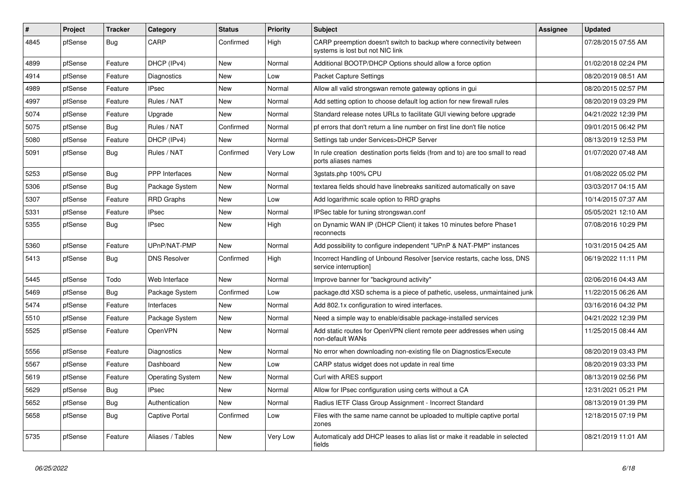| ∦    | Project | <b>Tracker</b> | Category                | <b>Status</b> | <b>Priority</b> | Subject                                                                                                 | <b>Assignee</b> | <b>Updated</b>      |
|------|---------|----------------|-------------------------|---------------|-----------------|---------------------------------------------------------------------------------------------------------|-----------------|---------------------|
| 4845 | pfSense | <b>Bug</b>     | CARP                    | Confirmed     | High            | CARP preemption doesn't switch to backup where connectivity between<br>systems is lost but not NIC link |                 | 07/28/2015 07:55 AM |
| 4899 | pfSense | Feature        | DHCP (IPv4)             | New           | Normal          | Additional BOOTP/DHCP Options should allow a force option                                               |                 | 01/02/2018 02:24 PM |
| 4914 | pfSense | Feature        | <b>Diagnostics</b>      | New           | Low             | <b>Packet Capture Settings</b>                                                                          |                 | 08/20/2019 08:51 AM |
| 4989 | pfSense | Feature        | <b>IPsec</b>            | <b>New</b>    | Normal          | Allow all valid strongswan remote gateway options in gui                                                |                 | 08/20/2015 02:57 PM |
| 4997 | pfSense | Feature        | Rules / NAT             | <b>New</b>    | Normal          | Add setting option to choose default log action for new firewall rules                                  |                 | 08/20/2019 03:29 PM |
| 5074 | pfSense | Feature        | Upgrade                 | New           | Normal          | Standard release notes URLs to facilitate GUI viewing before upgrade                                    |                 | 04/21/2022 12:39 PM |
| 5075 | pfSense | <b>Bug</b>     | Rules / NAT             | Confirmed     | Normal          | pf errors that don't return a line number on first line don't file notice                               |                 | 09/01/2015 06:42 PM |
| 5080 | pfSense | Feature        | DHCP (IPv4)             | New           | Normal          | Settings tab under Services>DHCP Server                                                                 |                 | 08/13/2019 12:53 PM |
| 5091 | pfSense | <b>Bug</b>     | Rules / NAT             | Confirmed     | Very Low        | In rule creation destination ports fields (from and to) are too small to read<br>ports aliases names    |                 | 01/07/2020 07:48 AM |
| 5253 | pfSense | <b>Bug</b>     | PPP Interfaces          | <b>New</b>    | Normal          | 3gstats.php 100% CPU                                                                                    |                 | 01/08/2022 05:02 PM |
| 5306 | pfSense | <b>Bug</b>     | Package System          | <b>New</b>    | Normal          | textarea fields should have linebreaks sanitized automatically on save                                  |                 | 03/03/2017 04:15 AM |
| 5307 | pfSense | Feature        | <b>RRD Graphs</b>       | New           | Low             | Add logarithmic scale option to RRD graphs                                                              |                 | 10/14/2015 07:37 AM |
| 5331 | pfSense | Feature        | <b>IPsec</b>            | New           | Normal          | IPSec table for tuning strongswan.conf                                                                  |                 | 05/05/2021 12:10 AM |
| 5355 | pfSense | <b>Bug</b>     | <b>IPsec</b>            | <b>New</b>    | High            | on Dynamic WAN IP (DHCP Client) it takes 10 minutes before Phase1<br>reconnects                         |                 | 07/08/2016 10:29 PM |
| 5360 | pfSense | Feature        | UPnP/NAT-PMP            | New           | Normal          | Add possibility to configure independent "UPnP & NAT-PMP" instances                                     |                 | 10/31/2015 04:25 AM |
| 5413 | pfSense | Bug            | <b>DNS Resolver</b>     | Confirmed     | High            | Incorrect Handling of Unbound Resolver [service restarts, cache loss, DNS]<br>service interruption]     |                 | 06/19/2022 11:11 PM |
| 5445 | pfSense | Todo           | Web Interface           | <b>New</b>    | Normal          | Improve banner for "background activity"                                                                |                 | 02/06/2016 04:43 AM |
| 5469 | pfSense | <b>Bug</b>     | Package System          | Confirmed     | Low             | package.dtd XSD schema is a piece of pathetic, useless, unmaintained junk                               |                 | 11/22/2015 06:26 AM |
| 5474 | pfSense | Feature        | Interfaces              | New           | Normal          | Add 802.1x configuration to wired interfaces.                                                           |                 | 03/16/2016 04:32 PM |
| 5510 | pfSense | Feature        | Package System          | <b>New</b>    | Normal          | Need a simple way to enable/disable package-installed services                                          |                 | 04/21/2022 12:39 PM |
| 5525 | pfSense | Feature        | OpenVPN                 | New           | Normal          | Add static routes for OpenVPN client remote peer addresses when using<br>non-default WANs               |                 | 11/25/2015 08:44 AM |
| 5556 | pfSense | Feature        | Diagnostics             | New           | Normal          | No error when downloading non-existing file on Diagnostics/Execute                                      |                 | 08/20/2019 03:43 PM |
| 5567 | pfSense | Feature        | Dashboard               | <b>New</b>    | Low             | CARP status widget does not update in real time                                                         |                 | 08/20/2019 03:33 PM |
| 5619 | pfSense | Feature        | <b>Operating System</b> | <b>New</b>    | Normal          | Curl with ARES support                                                                                  |                 | 08/13/2019 02:56 PM |
| 5629 | pfSense | Bug            | <b>IPsec</b>            | New           | Normal          | Allow for IPsec configuration using certs without a CA                                                  |                 | 12/31/2021 05:21 PM |
| 5652 | pfSense | Bug            | Authentication          | New           | Normal          | Radius IETF Class Group Assignment - Incorrect Standard                                                 |                 | 08/13/2019 01:39 PM |
| 5658 | pfSense | <b>Bug</b>     | <b>Captive Portal</b>   | Confirmed     | Low             | Files with the same name cannot be uploaded to multiple captive portal<br>zones                         |                 | 12/18/2015 07:19 PM |
| 5735 | pfSense | Feature        | Aliases / Tables        | New           | Very Low        | Automaticaly add DHCP leases to alias list or make it readable in selected<br>fields                    |                 | 08/21/2019 11:01 AM |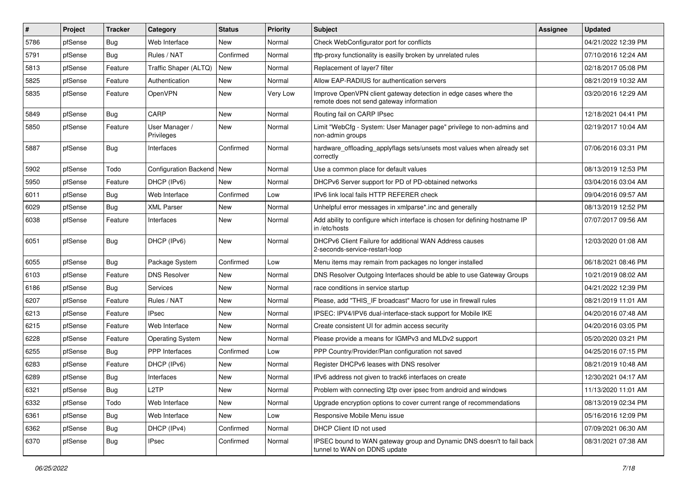| $\vert$ # | Project | <b>Tracker</b> | Category                     | <b>Status</b> | <b>Priority</b> | Subject                                                                                                      | <b>Assignee</b> | <b>Updated</b>      |
|-----------|---------|----------------|------------------------------|---------------|-----------------|--------------------------------------------------------------------------------------------------------------|-----------------|---------------------|
| 5786      | pfSense | <b>Bug</b>     | Web Interface                | New           | Normal          | Check WebConfigurator port for conflicts                                                                     |                 | 04/21/2022 12:39 PM |
| 5791      | pfSense | <b>Bug</b>     | Rules / NAT                  | Confirmed     | Normal          | tftp-proxy functionality is easilly broken by unrelated rules                                                |                 | 07/10/2016 12:24 AM |
| 5813      | pfSense | Feature        | Traffic Shaper (ALTQ)        | New           | Normal          | Replacement of layer7 filter                                                                                 |                 | 02/18/2017 05:08 PM |
| 5825      | pfSense | Feature        | Authentication               | New           | Normal          | Allow EAP-RADIUS for authentication servers                                                                  |                 | 08/21/2019 10:32 AM |
| 5835      | pfSense | Feature        | OpenVPN                      | New           | Very Low        | Improve OpenVPN client gateway detection in edge cases where the<br>remote does not send gateway information |                 | 03/20/2016 12:29 AM |
| 5849      | pfSense | <b>Bug</b>     | CARP                         | New           | Normal          | Routing fail on CARP IPsec                                                                                   |                 | 12/18/2021 04:41 PM |
| 5850      | pfSense | Feature        | User Manager /<br>Privileges | New           | Normal          | Limit "WebCfg - System: User Manager page" privilege to non-admins and<br>non-admin groups                   |                 | 02/19/2017 10:04 AM |
| 5887      | pfSense | <b>Bug</b>     | Interfaces                   | Confirmed     | Normal          | hardware_offloading_applyflags sets/unsets most values when already set<br>correctly                         |                 | 07/06/2016 03:31 PM |
| 5902      | pfSense | Todo           | <b>Configuration Backend</b> | <b>New</b>    | Normal          | Use a common place for default values                                                                        |                 | 08/13/2019 12:53 PM |
| 5950      | pfSense | Feature        | DHCP (IPv6)                  | New           | Normal          | DHCPv6 Server support for PD of PD-obtained networks                                                         |                 | 03/04/2016 03:04 AM |
| 6011      | pfSense | Bug            | Web Interface                | Confirmed     | Low             | IPv6 link local fails HTTP REFERER check                                                                     |                 | 09/04/2016 09:57 AM |
| 6029      | pfSense | <b>Bug</b>     | <b>XML Parser</b>            | New           | Normal          | Unhelpful error messages in xmlparse*.inc and generally                                                      |                 | 08/13/2019 12:52 PM |
| 6038      | pfSense | Feature        | Interfaces                   | New           | Normal          | Add ability to configure which interface is chosen for defining hostname IP<br>in /etc/hosts                 |                 | 07/07/2017 09:56 AM |
| 6051      | pfSense | <b>Bug</b>     | DHCP (IPv6)                  | New           | Normal          | DHCPv6 Client Failure for additional WAN Address causes<br>2-seconds-service-restart-loop                    |                 | 12/03/2020 01:08 AM |
| 6055      | pfSense | Bug            | Package System               | Confirmed     | Low             | Menu items may remain from packages no longer installed                                                      |                 | 06/18/2021 08:46 PM |
| 6103      | pfSense | Feature        | <b>DNS Resolver</b>          | New           | Normal          | DNS Resolver Outgoing Interfaces should be able to use Gateway Groups                                        |                 | 10/21/2019 08:02 AM |
| 6186      | pfSense | Bug            | Services                     | New           | Normal          | race conditions in service startup                                                                           |                 | 04/21/2022 12:39 PM |
| 6207      | pfSense | Feature        | Rules / NAT                  | New           | Normal          | Please, add "THIS IF broadcast" Macro for use in firewall rules                                              |                 | 08/21/2019 11:01 AM |
| 6213      | pfSense | Feature        | <b>IPsec</b>                 | New           | Normal          | IPSEC: IPV4/IPV6 dual-interface-stack support for Mobile IKE                                                 |                 | 04/20/2016 07:48 AM |
| 6215      | pfSense | Feature        | Web Interface                | New           | Normal          | Create consistent UI for admin access security                                                               |                 | 04/20/2016 03:05 PM |
| 6228      | pfSense | Feature        | <b>Operating System</b>      | <b>New</b>    | Normal          | Please provide a means for IGMPv3 and MLDv2 support                                                          |                 | 05/20/2020 03:21 PM |
| 6255      | pfSense | Bug            | <b>PPP</b> Interfaces        | Confirmed     | Low             | PPP Country/Provider/Plan configuration not saved                                                            |                 | 04/25/2016 07:15 PM |
| 6283      | pfSense | Feature        | DHCP (IPv6)                  | New           | Normal          | Register DHCPv6 leases with DNS resolver                                                                     |                 | 08/21/2019 10:48 AM |
| 6289      | pfSense | Bug            | Interfaces                   | New           | Normal          | IPv6 address not given to track6 interfaces on create                                                        |                 | 12/30/2021 04:17 AM |
| 6321      | pfSense | Bug            | L2TP                         | New           | Normal          | Problem with connecting I2tp over ipsec from android and windows                                             |                 | 11/13/2020 11:01 AM |
| 6332      | pfSense | Todo           | Web Interface                | New           | Normal          | Upgrade encryption options to cover current range of recommendations                                         |                 | 08/13/2019 02:34 PM |
| 6361      | pfSense | <b>Bug</b>     | Web Interface                | New           | Low             | Responsive Mobile Menu issue                                                                                 |                 | 05/16/2016 12:09 PM |
| 6362      | pfSense | Bug            | DHCP (IPv4)                  | Confirmed     | Normal          | DHCP Client ID not used                                                                                      |                 | 07/09/2021 06:30 AM |
| 6370      | pfSense | Bug            | <b>IPsec</b>                 | Confirmed     | Normal          | IPSEC bound to WAN gateway group and Dynamic DNS doesn't to fail back<br>tunnel to WAN on DDNS update        |                 | 08/31/2021 07:38 AM |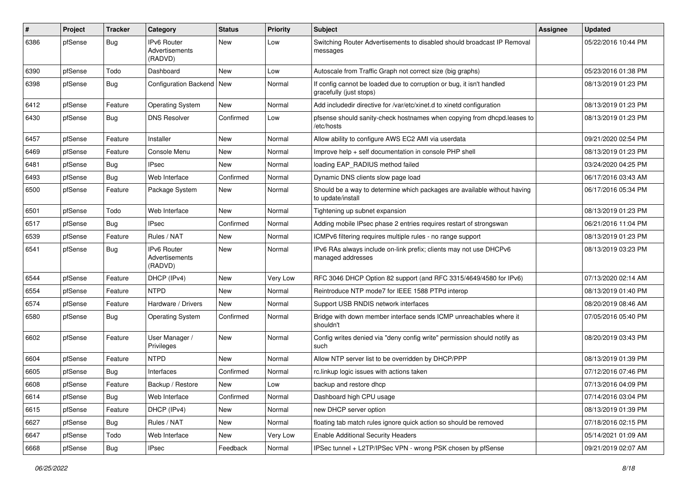| #    | Project | <b>Tracker</b> | Category                                 | <b>Status</b> | <b>Priority</b> | <b>Subject</b>                                                                                   | <b>Assignee</b> | <b>Updated</b>      |
|------|---------|----------------|------------------------------------------|---------------|-----------------|--------------------------------------------------------------------------------------------------|-----------------|---------------------|
| 6386 | pfSense | <b>Bug</b>     | IPv6 Router<br>Advertisements<br>(RADVD) | New           | Low             | Switching Router Advertisements to disabled should broadcast IP Removal<br>messages              |                 | 05/22/2016 10:44 PM |
| 6390 | pfSense | Todo           | Dashboard                                | New           | Low             | Autoscale from Traffic Graph not correct size (big graphs)                                       |                 | 05/23/2016 01:38 PM |
| 6398 | pfSense | <b>Bug</b>     | <b>Configuration Backend</b>             | New           | Normal          | If config cannot be loaded due to corruption or bug, it isn't handled<br>gracefully (just stops) |                 | 08/13/2019 01:23 PM |
| 6412 | pfSense | Feature        | <b>Operating System</b>                  | New           | Normal          | Add includedir directive for /var/etc/xinet.d to xinetd configuration                            |                 | 08/13/2019 01:23 PM |
| 6430 | pfSense | <b>Bug</b>     | <b>DNS Resolver</b>                      | Confirmed     | Low             | pfsense should sanity-check hostnames when copying from dhcpd.leases to<br>/etc/hosts            |                 | 08/13/2019 01:23 PM |
| 6457 | pfSense | Feature        | Installer                                | New           | Normal          | Allow ability to configure AWS EC2 AMI via userdata                                              |                 | 09/21/2020 02:54 PM |
| 6469 | pfSense | Feature        | Console Menu                             | New           | Normal          | Improve help + self documentation in console PHP shell                                           |                 | 08/13/2019 01:23 PM |
| 6481 | pfSense | <b>Bug</b>     | <b>IPsec</b>                             | New           | Normal          | loading EAP_RADIUS method failed                                                                 |                 | 03/24/2020 04:25 PM |
| 6493 | pfSense | <b>Bug</b>     | Web Interface                            | Confirmed     | Normal          | Dynamic DNS clients slow page load                                                               |                 | 06/17/2016 03:43 AM |
| 6500 | pfSense | Feature        | Package System                           | New           | Normal          | Should be a way to determine which packages are available without having<br>to update/install    |                 | 06/17/2016 05:34 PM |
| 6501 | pfSense | Todo           | Web Interface                            | <b>New</b>    | Normal          | Tightening up subnet expansion                                                                   |                 | 08/13/2019 01:23 PM |
| 6517 | pfSense | <b>Bug</b>     | <b>IPsec</b>                             | Confirmed     | Normal          | Adding mobile IPsec phase 2 entries requires restart of strongswan                               |                 | 06/21/2016 11:04 PM |
| 6539 | pfSense | Feature        | Rules / NAT                              | <b>New</b>    | Normal          | ICMPv6 filtering requires multiple rules - no range support                                      |                 | 08/13/2019 01:23 PM |
| 6541 | pfSense | Bug            | IPv6 Router<br>Advertisements<br>(RADVD) | New           | Normal          | IPv6 RAs always include on-link prefix; clients may not use DHCPv6<br>managed addresses          |                 | 08/13/2019 03:23 PM |
| 6544 | pfSense | Feature        | DHCP (IPv4)                              | New           | Very Low        | RFC 3046 DHCP Option 82 support (and RFC 3315/4649/4580 for IPv6)                                |                 | 07/13/2020 02:14 AM |
| 6554 | pfSense | Feature        | <b>NTPD</b>                              | New           | Normal          | Reintroduce NTP mode7 for IEEE 1588 PTPd interop                                                 |                 | 08/13/2019 01:40 PM |
| 6574 | pfSense | Feature        | Hardware / Drivers                       | <b>New</b>    | Normal          | Support USB RNDIS network interfaces                                                             |                 | 08/20/2019 08:46 AM |
| 6580 | pfSense | <b>Bug</b>     | <b>Operating System</b>                  | Confirmed     | Normal          | Bridge with down member interface sends ICMP unreachables where it<br>shouldn't                  |                 | 07/05/2016 05:40 PM |
| 6602 | pfSense | Feature        | User Manager /<br>Privileges             | New           | Normal          | Config writes denied via "deny config write" permission should notify as<br>such                 |                 | 08/20/2019 03:43 PM |
| 6604 | pfSense | Feature        | <b>NTPD</b>                              | <b>New</b>    | Normal          | Allow NTP server list to be overridden by DHCP/PPP                                               |                 | 08/13/2019 01:39 PM |
| 6605 | pfSense | Bug            | Interfaces                               | Confirmed     | Normal          | rc.linkup logic issues with actions taken                                                        |                 | 07/12/2016 07:46 PM |
| 6608 | pfSense | Feature        | Backup / Restore                         | <b>New</b>    | Low             | backup and restore dhcp                                                                          |                 | 07/13/2016 04:09 PM |
| 6614 | pfSense | Bug            | Web Interface                            | Confirmed     | Normal          | Dashboard high CPU usage                                                                         |                 | 07/14/2016 03:04 PM |
| 6615 | pfSense | Feature        | DHCP (IPv4)                              | New           | Normal          | new DHCP server option                                                                           |                 | 08/13/2019 01:39 PM |
| 6627 | pfSense | <b>Bug</b>     | Rules / NAT                              | New           | Normal          | floating tab match rules ignore quick action so should be removed                                |                 | 07/18/2016 02:15 PM |
| 6647 | pfSense | Todo           | Web Interface                            | New           | Very Low        | <b>Enable Additional Security Headers</b>                                                        |                 | 05/14/2021 01:09 AM |
| 6668 | pfSense | Bug            | <b>IPsec</b>                             | Feedback      | Normal          | IPSec tunnel + L2TP/IPSec VPN - wrong PSK chosen by pfSense                                      |                 | 09/21/2019 02:07 AM |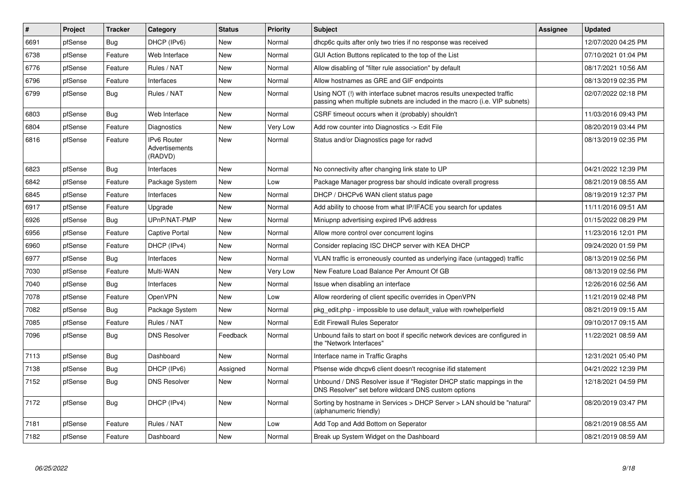| ∦    | Project | <b>Tracker</b> | Category                                 | <b>Status</b> | <b>Priority</b> | <b>Subject</b>                                                                                                                                      | <b>Assignee</b> | <b>Updated</b>      |
|------|---------|----------------|------------------------------------------|---------------|-----------------|-----------------------------------------------------------------------------------------------------------------------------------------------------|-----------------|---------------------|
| 6691 | pfSense | Bug            | DHCP (IPv6)                              | <b>New</b>    | Normal          | dhcp6c quits after only two tries if no response was received                                                                                       |                 | 12/07/2020 04:25 PM |
| 6738 | pfSense | Feature        | Web Interface                            | <b>New</b>    | Normal          | GUI Action Buttons replicated to the top of the List                                                                                                |                 | 07/10/2021 01:04 PM |
| 6776 | pfSense | Feature        | Rules / NAT                              | <b>New</b>    | Normal          | Allow disabling of "filter rule association" by default                                                                                             |                 | 08/17/2021 10:56 AM |
| 6796 | pfSense | Feature        | Interfaces                               | <b>New</b>    | Normal          | Allow hostnames as GRE and GIF endpoints                                                                                                            |                 | 08/13/2019 02:35 PM |
| 6799 | pfSense | <b>Bug</b>     | Rules / NAT                              | <b>New</b>    | Normal          | Using NOT (!) with interface subnet macros results unexpected traffic<br>passing when multiple subnets are included in the macro (i.e. VIP subnets) |                 | 02/07/2022 02:18 PM |
| 6803 | pfSense | <b>Bug</b>     | Web Interface                            | <b>New</b>    | Normal          | CSRF timeout occurs when it (probably) shouldn't                                                                                                    |                 | 11/03/2016 09:43 PM |
| 6804 | pfSense | Feature        | Diagnostics                              | New           | Very Low        | Add row counter into Diagnostics -> Edit File                                                                                                       |                 | 08/20/2019 03:44 PM |
| 6816 | pfSense | Feature        | IPv6 Router<br>Advertisements<br>(RADVD) | <b>New</b>    | Normal          | Status and/or Diagnostics page for radvd                                                                                                            |                 | 08/13/2019 02:35 PM |
| 6823 | pfSense | <b>Bug</b>     | Interfaces                               | <b>New</b>    | Normal          | No connectivity after changing link state to UP                                                                                                     |                 | 04/21/2022 12:39 PM |
| 6842 | pfSense | Feature        | Package System                           | New           | Low             | Package Manager progress bar should indicate overall progress                                                                                       |                 | 08/21/2019 08:55 AM |
| 6845 | pfSense | Feature        | Interfaces                               | <b>New</b>    | Normal          | DHCP / DHCPv6 WAN client status page                                                                                                                |                 | 08/19/2019 12:37 PM |
| 6917 | pfSense | Feature        | Upgrade                                  | New           | Normal          | Add ability to choose from what IP/IFACE you search for updates                                                                                     |                 | 11/11/2016 09:51 AM |
| 6926 | pfSense | <b>Bug</b>     | UPnP/NAT-PMP                             | New           | Normal          | Miniupnp advertising expired IPv6 address                                                                                                           |                 | 01/15/2022 08:29 PM |
| 6956 | pfSense | Feature        | Captive Portal                           | New           | Normal          | Allow more control over concurrent logins                                                                                                           |                 | 11/23/2016 12:01 PM |
| 6960 | pfSense | Feature        | DHCP (IPv4)                              | New           | Normal          | Consider replacing ISC DHCP server with KEA DHCP                                                                                                    |                 | 09/24/2020 01:59 PM |
| 6977 | pfSense | <b>Bug</b>     | Interfaces                               | <b>New</b>    | Normal          | VLAN traffic is erroneously counted as underlying iface (untagged) traffic                                                                          |                 | 08/13/2019 02:56 PM |
| 7030 | pfSense | Feature        | Multi-WAN                                | <b>New</b>    | Very Low        | New Feature Load Balance Per Amount Of GB                                                                                                           |                 | 08/13/2019 02:56 PM |
| 7040 | pfSense | <b>Bug</b>     | Interfaces                               | <b>New</b>    | Normal          | Issue when disabling an interface                                                                                                                   |                 | 12/26/2016 02:56 AM |
| 7078 | pfSense | Feature        | OpenVPN                                  | <b>New</b>    | Low             | Allow reordering of client specific overrides in OpenVPN                                                                                            |                 | 11/21/2019 02:48 PM |
| 7082 | pfSense | <b>Bug</b>     | Package System                           | <b>New</b>    | Normal          | pkg_edit.php - impossible to use default_value with rowhelperfield                                                                                  |                 | 08/21/2019 09:15 AM |
| 7085 | pfSense | Feature        | Rules / NAT                              | <b>New</b>    | Normal          | <b>Edit Firewall Rules Seperator</b>                                                                                                                |                 | 09/10/2017 09:15 AM |
| 7096 | pfSense | <b>Bug</b>     | <b>DNS Resolver</b>                      | Feedback      | Normal          | Unbound fails to start on boot if specific network devices are configured in<br>the "Network Interfaces"                                            |                 | 11/22/2021 08:59 AM |
| 7113 | pfSense | Bug            | Dashboard                                | <b>New</b>    | Normal          | Interface name in Traffic Graphs                                                                                                                    |                 | 12/31/2021 05:40 PM |
| 7138 | pfSense | <b>Bug</b>     | DHCP (IPv6)                              | Assigned      | Normal          | Pfsense wide dhcpv6 client doesn't recognise ifid statement                                                                                         |                 | 04/21/2022 12:39 PM |
| 7152 | pfSense | <b>Bug</b>     | <b>DNS Resolver</b>                      | <b>New</b>    | Normal          | Unbound / DNS Resolver issue if "Register DHCP static mappings in the<br>DNS Resolver" set before wildcard DNS custom options                       |                 | 12/18/2021 04:59 PM |
| 7172 | pfSense | Bug            | DHCP (IPv4)                              | <b>New</b>    | Normal          | Sorting by hostname in Services > DHCP Server > LAN should be "natural"<br>(alphanumeric friendly)                                                  |                 | 08/20/2019 03:47 PM |
| 7181 | pfSense | Feature        | Rules / NAT                              | <b>New</b>    | Low             | Add Top and Add Bottom on Seperator                                                                                                                 |                 | 08/21/2019 08:55 AM |
| 7182 | pfSense | Feature        | Dashboard                                | <b>New</b>    | Normal          | Break up System Widget on the Dashboard                                                                                                             |                 | 08/21/2019 08:59 AM |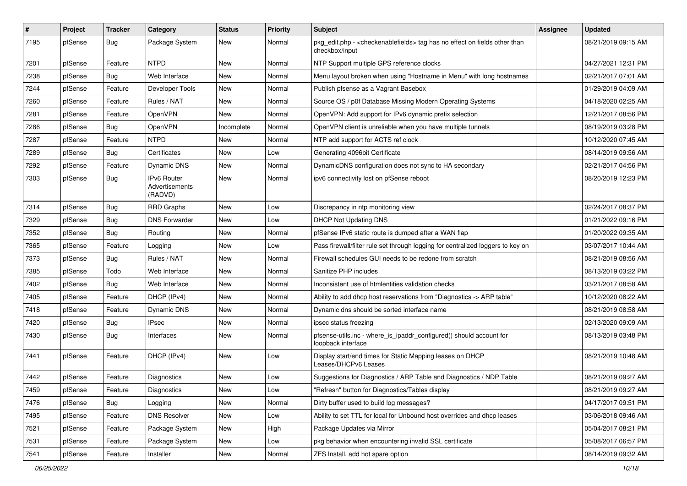| $\vert$ # | Project | <b>Tracker</b> | Category                                 | <b>Status</b> | <b>Priority</b> | Subject                                                                                                          | <b>Assignee</b> | <b>Updated</b>      |
|-----------|---------|----------------|------------------------------------------|---------------|-----------------|------------------------------------------------------------------------------------------------------------------|-----------------|---------------------|
| 7195      | pfSense | Bug            | Package System                           | New           | Normal          | pkg_edit.php - <checkenablefields> tag has no effect on fields other than<br/>checkbox/input</checkenablefields> |                 | 08/21/2019 09:15 AM |
| 7201      | pfSense | Feature        | <b>NTPD</b>                              | New           | Normal          | NTP Support multiple GPS reference clocks                                                                        |                 | 04/27/2021 12:31 PM |
| 7238      | pfSense | <b>Bug</b>     | Web Interface                            | New           | Normal          | Menu layout broken when using "Hostname in Menu" with long hostnames                                             |                 | 02/21/2017 07:01 AM |
| 7244      | pfSense | Feature        | Developer Tools                          | <b>New</b>    | Normal          | Publish pfsense as a Vagrant Basebox                                                                             |                 | 01/29/2019 04:09 AM |
| 7260      | pfSense | Feature        | Rules / NAT                              | New           | Normal          | Source OS / p0f Database Missing Modern Operating Systems                                                        |                 | 04/18/2020 02:25 AM |
| 7281      | pfSense | Feature        | OpenVPN                                  | New           | Normal          | OpenVPN: Add support for IPv6 dynamic prefix selection                                                           |                 | 12/21/2017 08:56 PM |
| 7286      | pfSense | <b>Bug</b>     | OpenVPN                                  | Incomplete    | Normal          | OpenVPN client is unreliable when you have multiple tunnels                                                      |                 | 08/19/2019 03:28 PM |
| 7287      | pfSense | Feature        | <b>NTPD</b>                              | New           | Normal          | NTP add support for ACTS ref clock                                                                               |                 | 10/12/2020 07:45 AM |
| 7289      | pfSense | <b>Bug</b>     | Certificates                             | New           | Low             | Generating 4096bit Certificate                                                                                   |                 | 08/14/2019 09:56 AM |
| 7292      | pfSense | Feature        | Dynamic DNS                              | New           | Normal          | DynamicDNS configuration does not sync to HA secondary                                                           |                 | 02/21/2017 04:56 PM |
| 7303      | pfSense | Bug            | IPv6 Router<br>Advertisements<br>(RADVD) | New           | Normal          | ipv6 connectivity lost on pfSense reboot                                                                         |                 | 08/20/2019 12:23 PM |
| 7314      | pfSense | <b>Bug</b>     | <b>RRD Graphs</b>                        | <b>New</b>    | Low             | Discrepancy in ntp monitoring view                                                                               |                 | 02/24/2017 08:37 PM |
| 7329      | pfSense | <b>Bug</b>     | <b>DNS Forwarder</b>                     | <b>New</b>    | Low             | <b>DHCP Not Updating DNS</b>                                                                                     |                 | 01/21/2022 09:16 PM |
| 7352      | pfSense | <b>Bug</b>     | Routing                                  | New           | Normal          | pfSense IPv6 static route is dumped after a WAN flap                                                             |                 | 01/20/2022 09:35 AM |
| 7365      | pfSense | Feature        | Logging                                  | <b>New</b>    | Low             | Pass firewall/filter rule set through logging for centralized loggers to key on                                  |                 | 03/07/2017 10:44 AM |
| 7373      | pfSense | Bug            | Rules / NAT                              | New           | Normal          | Firewall schedules GUI needs to be redone from scratch                                                           |                 | 08/21/2019 08:56 AM |
| 7385      | pfSense | Todo           | Web Interface                            | New           | Normal          | Sanitize PHP includes                                                                                            |                 | 08/13/2019 03:22 PM |
| 7402      | pfSense | <b>Bug</b>     | Web Interface                            | <b>New</b>    | Normal          | Inconsistent use of htmlentities validation checks                                                               |                 | 03/21/2017 08:58 AM |
| 7405      | pfSense | Feature        | DHCP (IPv4)                              | New           | Normal          | Ability to add dhcp host reservations from "Diagnostics -> ARP table"                                            |                 | 10/12/2020 08:22 AM |
| 7418      | pfSense | Feature        | Dynamic DNS                              | New           | Normal          | Dynamic dns should be sorted interface name                                                                      |                 | 08/21/2019 08:58 AM |
| 7420      | pfSense | Bug            | <b>IPsec</b>                             | New           | Normal          | ipsec status freezing                                                                                            |                 | 02/13/2020 09:09 AM |
| 7430      | pfSense | <b>Bug</b>     | Interfaces                               | New           | Normal          | pfsense-utils.inc - where_is_ipaddr_configured() should account for<br>loopback interface                        |                 | 08/13/2019 03:48 PM |
| 7441      | pfSense | Feature        | DHCP (IPv4)                              | <b>New</b>    | Low             | Display start/end times for Static Mapping leases on DHCP<br>Leases/DHCPv6 Leases                                |                 | 08/21/2019 10:48 AM |
| 7442      | pfSense | Feature        | Diagnostics                              | <b>New</b>    | Low             | Suggestions for Diagnostics / ARP Table and Diagnostics / NDP Table                                              |                 | 08/21/2019 09:27 AM |
| 7459      | pfSense | Feature        | Diagnostics                              | New           | Low             | Refresh" button for Diagnostics/Tables display                                                                   |                 | 08/21/2019 09:27 AM |
| 7476      | pfSense | <b>Bug</b>     | Logging                                  | New           | Normal          | Dirty buffer used to build log messages?                                                                         |                 | 04/17/2017 09:51 PM |
| 7495      | pfSense | Feature        | <b>DNS Resolver</b>                      | New           | Low             | Ability to set TTL for local for Unbound host overrides and dhcp leases                                          |                 | 03/06/2018 09:46 AM |
| 7521      | pfSense | Feature        | Package System                           | New           | High            | Package Updates via Mirror                                                                                       |                 | 05/04/2017 08:21 PM |
| 7531      | pfSense | Feature        | Package System                           | New           | Low             | pkg behavior when encountering invalid SSL certificate                                                           |                 | 05/08/2017 06:57 PM |
| 7541      | pfSense | Feature        | Installer                                | New           | Normal          | ZFS Install, add hot spare option                                                                                |                 | 08/14/2019 09:32 AM |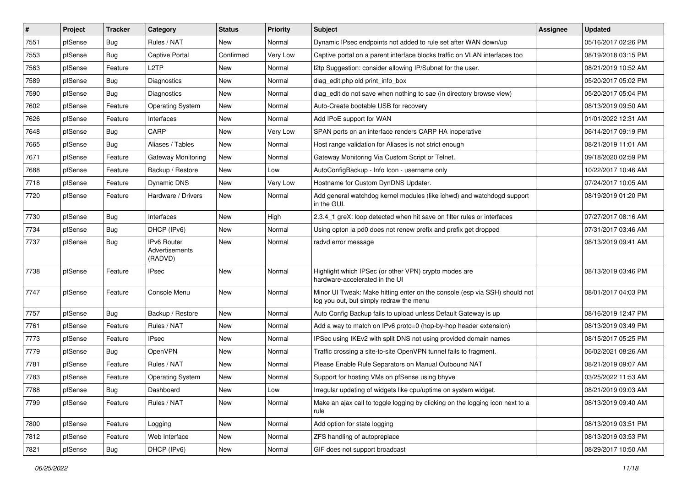| $\vert$ # | Project | <b>Tracker</b> | Category                                 | <b>Status</b> | <b>Priority</b> | <b>Subject</b>                                                                                                        | <b>Assignee</b> | <b>Updated</b>      |
|-----------|---------|----------------|------------------------------------------|---------------|-----------------|-----------------------------------------------------------------------------------------------------------------------|-----------------|---------------------|
| 7551      | pfSense | <b>Bug</b>     | Rules / NAT                              | New           | Normal          | Dynamic IPsec endpoints not added to rule set after WAN down/up                                                       |                 | 05/16/2017 02:26 PM |
| 7553      | pfSense | <b>Bug</b>     | <b>Captive Portal</b>                    | Confirmed     | Very Low        | Captive portal on a parent interface blocks traffic on VLAN interfaces too                                            |                 | 08/19/2018 03:15 PM |
| 7563      | pfSense | Feature        | L <sub>2</sub> TP                        | New           | Normal          | I2tp Suggestion: consider allowing IP/Subnet for the user.                                                            |                 | 08/21/2019 10:52 AM |
| 7589      | pfSense | <b>Bug</b>     | Diagnostics                              | New           | Normal          | diag_edit.php old print_info_box                                                                                      |                 | 05/20/2017 05:02 PM |
| 7590      | pfSense | <b>Bug</b>     | Diagnostics                              | <b>New</b>    | Normal          | diag_edit do not save when nothing to sae (in directory browse view)                                                  |                 | 05/20/2017 05:04 PM |
| 7602      | pfSense | Feature        | <b>Operating System</b>                  | New           | Normal          | Auto-Create bootable USB for recovery                                                                                 |                 | 08/13/2019 09:50 AM |
| 7626      | pfSense | Feature        | Interfaces                               | <b>New</b>    | Normal          | Add IPoE support for WAN                                                                                              |                 | 01/01/2022 12:31 AM |
| 7648      | pfSense | <b>Bug</b>     | CARP                                     | New           | Very Low        | SPAN ports on an interface renders CARP HA inoperative                                                                |                 | 06/14/2017 09:19 PM |
| 7665      | pfSense | <b>Bug</b>     | Aliases / Tables                         | New           | Normal          | Host range validation for Aliases is not strict enough                                                                |                 | 08/21/2019 11:01 AM |
| 7671      | pfSense | Feature        | Gateway Monitoring                       | <b>New</b>    | Normal          | Gateway Monitoring Via Custom Script or Telnet.                                                                       |                 | 09/18/2020 02:59 PM |
| 7688      | pfSense | Feature        | Backup / Restore                         | New           | Low             | AutoConfigBackup - Info Icon - username only                                                                          |                 | 10/22/2017 10:46 AM |
| 7718      | pfSense | Feature        | Dynamic DNS                              | New           | Very Low        | Hostname for Custom DynDNS Updater.                                                                                   |                 | 07/24/2017 10:05 AM |
| 7720      | pfSense | Feature        | Hardware / Drivers                       | <b>New</b>    | Normal          | Add general watchdog kernel modules (like ichwd) and watchdogd support<br>in the GUI.                                 |                 | 08/19/2019 01:20 PM |
| 7730      | pfSense | <b>Bug</b>     | Interfaces                               | <b>New</b>    | High            | 2.3.4_1 greX: loop detected when hit save on filter rules or interfaces                                               |                 | 07/27/2017 08:16 AM |
| 7734      | pfSense | Bug            | DHCP (IPv6)                              | New           | Normal          | Using opton ia pd0 does not renew prefix and prefix get dropped                                                       |                 | 07/31/2017 03:46 AM |
| 7737      | pfSense | <b>Bug</b>     | IPv6 Router<br>Advertisements<br>(RADVD) | New           | Normal          | radvd error message                                                                                                   |                 | 08/13/2019 09:41 AM |
| 7738      | pfSense | Feature        | <b>IPsec</b>                             | <b>New</b>    | Normal          | Highlight which IPSec (or other VPN) crypto modes are<br>hardware-accelerated in the UI                               |                 | 08/13/2019 03:46 PM |
| 7747      | pfSense | Feature        | Console Menu                             | <b>New</b>    | Normal          | Minor UI Tweak: Make hitting enter on the console (esp via SSH) should not<br>log you out, but simply redraw the menu |                 | 08/01/2017 04:03 PM |
| 7757      | pfSense | Bug            | Backup / Restore                         | New           | Normal          | Auto Config Backup fails to upload unless Default Gateway is up                                                       |                 | 08/16/2019 12:47 PM |
| 7761      | pfSense | Feature        | Rules / NAT                              | <b>New</b>    | Normal          | Add a way to match on IPv6 proto=0 (hop-by-hop header extension)                                                      |                 | 08/13/2019 03:49 PM |
| 7773      | pfSense | Feature        | <b>IPsec</b>                             | <b>New</b>    | Normal          | IPSec using IKEv2 with split DNS not using provided domain names                                                      |                 | 08/15/2017 05:25 PM |
| 7779      | pfSense | <b>Bug</b>     | OpenVPN                                  | New           | Normal          | Traffic crossing a site-to-site OpenVPN tunnel fails to fragment.                                                     |                 | 06/02/2021 08:26 AM |
| 7781      | pfSense | Feature        | Rules / NAT                              | New           | Normal          | Please Enable Rule Separators on Manual Outbound NAT                                                                  |                 | 08/21/2019 09:07 AM |
| 7783      | pfSense | Feature        | <b>Operating System</b>                  | New           | Normal          | Support for hosting VMs on pfSense using bhyve                                                                        |                 | 03/25/2022 11:53 AM |
| 7788      | pfSense | Bug            | Dashboard                                | New           | Low             | Irregular updating of widgets like cpu/uptime on system widget.                                                       |                 | 08/21/2019 09:03 AM |
| 7799      | pfSense | Feature        | Rules / NAT                              | New           | Normal          | Make an ajax call to toggle logging by clicking on the logging icon next to a<br>rule                                 |                 | 08/13/2019 09:40 AM |
| 7800      | pfSense | Feature        | Logging                                  | New           | Normal          | Add option for state logging                                                                                          |                 | 08/13/2019 03:51 PM |
| 7812      | pfSense | Feature        | Web Interface                            | New           | Normal          | ZFS handling of autopreplace                                                                                          |                 | 08/13/2019 03:53 PM |
| 7821      | pfSense | Bug            | DHCP (IPv6)                              | New           | Normal          | GIF does not support broadcast                                                                                        |                 | 08/29/2017 10:50 AM |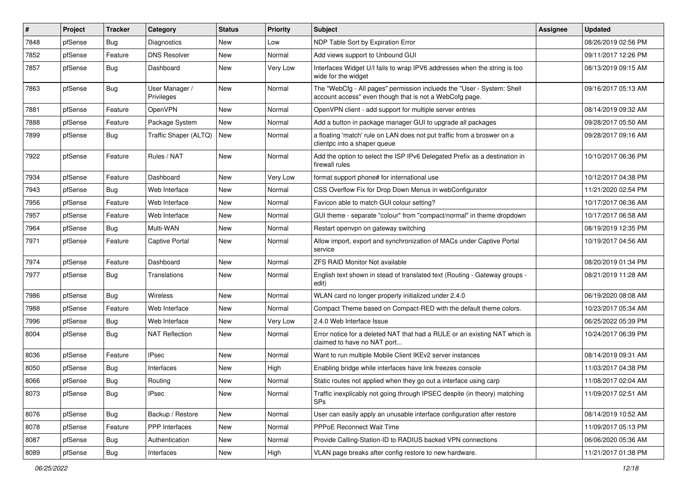| $\vert$ # | Project | <b>Tracker</b> | Category                     | <b>Status</b> | <b>Priority</b> | <b>Subject</b>                                                                                                                    | <b>Assignee</b> | <b>Updated</b>      |
|-----------|---------|----------------|------------------------------|---------------|-----------------|-----------------------------------------------------------------------------------------------------------------------------------|-----------------|---------------------|
| 7848      | pfSense | Bug            | <b>Diagnostics</b>           | New           | Low             | NDP Table Sort by Expiration Error                                                                                                |                 | 08/26/2019 02:56 PM |
| 7852      | pfSense | Feature        | <b>DNS Resolver</b>          | <b>New</b>    | Normal          | Add views support to Unbound GUI                                                                                                  |                 | 09/11/2017 12:26 PM |
| 7857      | pfSense | <b>Bug</b>     | Dashboard                    | New           | Very Low        | Interfaces Widget U/I fails to wrap IPV6 addresses when the string is too<br>wide for the widget                                  |                 | 08/13/2019 09:15 AM |
| 7863      | pfSense | <b>Bug</b>     | User Manager /<br>Privileges | New           | Normal          | The "WebCfg - All pages" permission inclueds the "User - System: Shell<br>account access" even though that is not a WebCofg page. |                 | 09/16/2017 05:13 AM |
| 7881      | pfSense | Feature        | OpenVPN                      | New           | Normal          | OpenVPN client - add support for multiple server entries                                                                          |                 | 08/14/2019 09:32 AM |
| 7888      | pfSense | Feature        | Package System               | New           | Normal          | Add a button in package manager GUI to upgrade all packages                                                                       |                 | 09/28/2017 05:50 AM |
| 7899      | pfSense | <b>Bug</b>     | Traffic Shaper (ALTQ)        | <b>New</b>    | Normal          | a floating 'match' rule on LAN does not put traffic from a broswer on a<br>clientpc into a shaper queue                           |                 | 09/28/2017 09:16 AM |
| 7922      | pfSense | Feature        | Rules / NAT                  | New           | Normal          | Add the option to select the ISP IPv6 Delegated Prefix as a destination in<br>firewall rules                                      |                 | 10/10/2017 06:36 PM |
| 7934      | pfSense | Feature        | Dashboard                    | <b>New</b>    | Very Low        | format support phone# for international use                                                                                       |                 | 10/12/2017 04:38 PM |
| 7943      | pfSense | <b>Bug</b>     | Web Interface                | New           | Normal          | CSS Overflow Fix for Drop Down Menus in webConfigurator                                                                           |                 | 11/21/2020 02:54 PM |
| 7956      | pfSense | Feature        | Web Interface                | New           | Normal          | Favicon able to match GUI colour setting?                                                                                         |                 | 10/17/2017 06:36 AM |
| 7957      | pfSense | Feature        | Web Interface                | New           | Normal          | GUI theme - separate "colour" from "compact/normal" in theme dropdown                                                             |                 | 10/17/2017 06:58 AM |
| 7964      | pfSense | <b>Bug</b>     | Multi-WAN                    | New           | Normal          | Restart openvpn on gateway switching                                                                                              |                 | 08/19/2019 12:35 PM |
| 7971      | pfSense | Feature        | Captive Portal               | New           | Normal          | Allow import, export and synchronization of MACs under Captive Portal<br>service                                                  |                 | 10/19/2017 04:56 AM |
| 7974      | pfSense | Feature        | Dashboard                    | <b>New</b>    | Normal          | <b>ZFS RAID Monitor Not available</b>                                                                                             |                 | 08/20/2019 01:34 PM |
| 7977      | pfSense | Bug            | Translations                 | New           | Normal          | English text shown in stead of translated text (Routing - Gateway groups -<br>edit)                                               |                 | 08/21/2019 11:28 AM |
| 7986      | pfSense | <b>Bug</b>     | <b>Wireless</b>              | New           | Normal          | WLAN card no longer properly initialized under 2.4.0                                                                              |                 | 06/19/2020 08:08 AM |
| 7988      | pfSense | Feature        | Web Interface                | <b>New</b>    | Normal          | Compact Theme based on Compact-RED with the default theme colors.                                                                 |                 | 10/23/2017 05:34 AM |
| 7996      | pfSense | <b>Bug</b>     | Web Interface                | New           | Very Low        | 2.4.0 Web Interface Issue                                                                                                         |                 | 06/25/2022 05:39 PM |
| 8004      | pfSense | <b>Bug</b>     | <b>NAT Reflection</b>        | New           | Normal          | Error notice for a deleted NAT that had a RULE or an existing NAT which is<br>claimed to have no NAT port                         |                 | 10/24/2017 06:39 PM |
| 8036      | pfSense | Feature        | <b>IPsec</b>                 | <b>New</b>    | Normal          | Want to run multiple Mobile Client IKEv2 server instances                                                                         |                 | 08/14/2019 09:31 AM |
| 8050      | pfSense | Bug            | Interfaces                   | New           | High            | Enabling bridge while interfaces have link freezes console                                                                        |                 | 11/03/2017 04:38 PM |
| 8066      | pfSense | <b>Bug</b>     | Routing                      | New           | Normal          | Static routes not applied when they go out a interface using carp                                                                 |                 | 11/08/2017 02:04 AM |
| 8073      | pfSense | <b>Bug</b>     | <b>IPsec</b>                 | New           | Normal          | Traffic inexplicably not going through IPSEC despite (in theory) matching<br><b>SPs</b>                                           |                 | 11/09/2017 02:51 AM |
| 8076      | pfSense | <b>Bug</b>     | Backup / Restore             | New           | Normal          | User can easily apply an unusable interface configuration after restore                                                           |                 | 08/14/2019 10:52 AM |
| 8078      | pfSense | Feature        | PPP Interfaces               | New           | Normal          | PPPoE Reconnect Wait Time                                                                                                         |                 | 11/09/2017 05:13 PM |
| 8087      | pfSense | Bug            | Authentication               | New           | Normal          | Provide Calling-Station-ID to RADIUS backed VPN connections                                                                       |                 | 06/06/2020 05:36 AM |
| 8089      | pfSense | Bug            | Interfaces                   | New           | High            | VLAN page breaks after config restore to new hardware.                                                                            |                 | 11/21/2017 01:38 PM |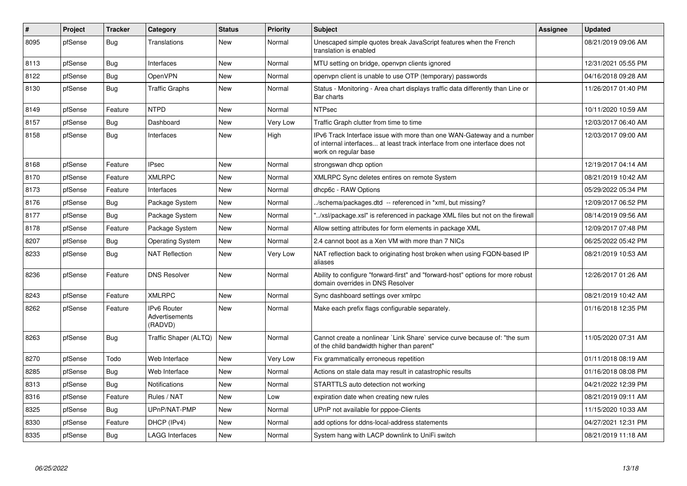| $\pmb{\#}$ | Project | <b>Tracker</b> | Category                                 | <b>Status</b> | <b>Priority</b> | <b>Subject</b>                                                                                                                                                                | <b>Assignee</b> | <b>Updated</b>      |
|------------|---------|----------------|------------------------------------------|---------------|-----------------|-------------------------------------------------------------------------------------------------------------------------------------------------------------------------------|-----------------|---------------------|
| 8095       | pfSense | Bug            | <b>Translations</b>                      | New           | Normal          | Unescaped simple quotes break JavaScript features when the French<br>translation is enabled                                                                                   |                 | 08/21/2019 09:06 AM |
| 8113       | pfSense | Bug            | Interfaces                               | <b>New</b>    | Normal          | MTU setting on bridge, openypn clients ignored                                                                                                                                |                 | 12/31/2021 05:55 PM |
| 8122       | pfSense | <b>Bug</b>     | OpenVPN                                  | New           | Normal          | openvpn client is unable to use OTP (temporary) passwords                                                                                                                     |                 | 04/16/2018 09:28 AM |
| 8130       | pfSense | Bug            | <b>Traffic Graphs</b>                    | <b>New</b>    | Normal          | Status - Monitoring - Area chart displays traffic data differently than Line or<br>Bar charts                                                                                 |                 | 11/26/2017 01:40 PM |
| 8149       | pfSense | Feature        | <b>NTPD</b>                              | New           | Normal          | <b>NTPsec</b>                                                                                                                                                                 |                 | 10/11/2020 10:59 AM |
| 8157       | pfSense | <b>Bug</b>     | Dashboard                                | New           | Very Low        | Traffic Graph clutter from time to time                                                                                                                                       |                 | 12/03/2017 06:40 AM |
| 8158       | pfSense | Bug            | Interfaces                               | New           | High            | IPv6 Track Interface issue with more than one WAN-Gateway and a number<br>of internal interfaces at least track interface from one interface does not<br>work on regular base |                 | 12/03/2017 09:00 AM |
| 8168       | pfSense | Feature        | <b>IPsec</b>                             | New           | Normal          | strongswan dhcp option                                                                                                                                                        |                 | 12/19/2017 04:14 AM |
| 8170       | pfSense | Feature        | <b>XMLRPC</b>                            | <b>New</b>    | Normal          | XMLRPC Sync deletes entires on remote System                                                                                                                                  |                 | 08/21/2019 10:42 AM |
| 8173       | pfSense | Feature        | Interfaces                               | <b>New</b>    | Normal          | dhcp6c - RAW Options                                                                                                                                                          |                 | 05/29/2022 05:34 PM |
| 8176       | pfSense | Bug            | Package System                           | <b>New</b>    | Normal          | ./schema/packages.dtd -- referenced in *xml, but missing?                                                                                                                     |                 | 12/09/2017 06:52 PM |
| 8177       | pfSense | <b>Bug</b>     | Package System                           | <b>New</b>    | Normal          | "/xsl/package.xsl" is referenced in package XML files but not on the firewall                                                                                                 |                 | 08/14/2019 09:56 AM |
| 8178       | pfSense | Feature        | Package System                           | New           | Normal          | Allow setting attributes for form elements in package XML                                                                                                                     |                 | 12/09/2017 07:48 PM |
| 8207       | pfSense | <b>Bug</b>     | <b>Operating System</b>                  | New           | Normal          | 2.4 cannot boot as a Xen VM with more than 7 NICs                                                                                                                             |                 | 06/25/2022 05:42 PM |
| 8233       | pfSense | Bug            | <b>NAT Reflection</b>                    | New           | Very Low        | NAT reflection back to originating host broken when using FQDN-based IP<br>aliases                                                                                            |                 | 08/21/2019 10:53 AM |
| 8236       | pfSense | Feature        | <b>DNS Resolver</b>                      | <b>New</b>    | Normal          | Ability to configure "forward-first" and "forward-host" options for more robust<br>domain overrides in DNS Resolver                                                           |                 | 12/26/2017 01:26 AM |
| 8243       | pfSense | Feature        | <b>XMLRPC</b>                            | <b>New</b>    | Normal          | Sync dashboard settings over xmlrpc                                                                                                                                           |                 | 08/21/2019 10:42 AM |
| 8262       | pfSense | Feature        | IPv6 Router<br>Advertisements<br>(RADVD) | New           | Normal          | Make each prefix flags configurable separately.                                                                                                                               |                 | 01/16/2018 12:35 PM |
| 8263       | pfSense | <b>Bug</b>     | Traffic Shaper (ALTQ)                    | New           | Normal          | Cannot create a nonlinear `Link Share` service curve because of: "the sum<br>of the child bandwidth higher than parent"                                                       |                 | 11/05/2020 07:31 AM |
| 8270       | pfSense | Todo           | Web Interface                            | <b>New</b>    | Very Low        | Fix grammatically erroneous repetition                                                                                                                                        |                 | 01/11/2018 08:19 AM |
| 8285       | pfSense | <b>Bug</b>     | Web Interface                            | <b>New</b>    | Normal          | Actions on stale data may result in catastrophic results                                                                                                                      |                 | 01/16/2018 08:08 PM |
| 8313       | pfSense | Bug            | <b>Notifications</b>                     | <b>New</b>    | Normal          | STARTTLS auto detection not working                                                                                                                                           |                 | 04/21/2022 12:39 PM |
| 8316       | pfSense | Feature        | Rules / NAT                              | <b>New</b>    | Low             | expiration date when creating new rules                                                                                                                                       |                 | 08/21/2019 09:11 AM |
| 8325       | pfSense | <b>Bug</b>     | UPnP/NAT-PMP                             | New           | Normal          | UPnP not available for pppoe-Clients                                                                                                                                          |                 | 11/15/2020 10:33 AM |
| 8330       | pfSense | Feature        | DHCP (IPv4)                              | New           | Normal          | add options for ddns-local-address statements                                                                                                                                 |                 | 04/27/2021 12:31 PM |
| 8335       | pfSense | <b>Bug</b>     | <b>LAGG Interfaces</b>                   | <b>New</b>    | Normal          | System hang with LACP downlink to UniFi switch                                                                                                                                |                 | 08/21/2019 11:18 AM |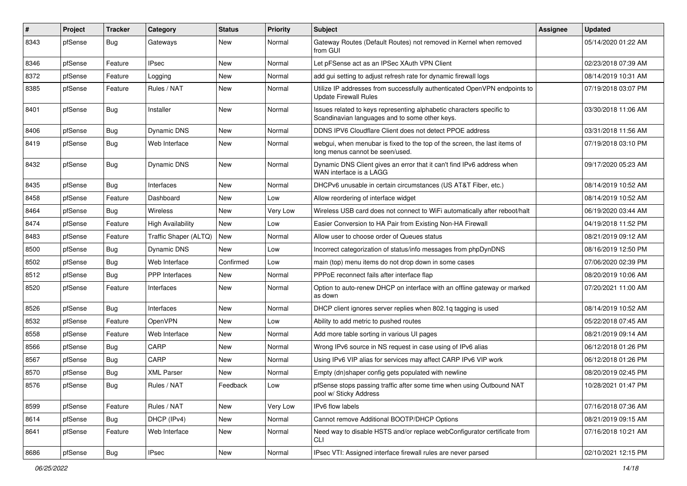| $\vert$ # | Project | <b>Tracker</b> | Category                 | <b>Status</b> | <b>Priority</b> | <b>Subject</b>                                                                                                          | <b>Assignee</b> | <b>Updated</b>      |
|-----------|---------|----------------|--------------------------|---------------|-----------------|-------------------------------------------------------------------------------------------------------------------------|-----------------|---------------------|
| 8343      | pfSense | <b>Bug</b>     | Gateways                 | New           | Normal          | Gateway Routes (Default Routes) not removed in Kernel when removed<br>from GUI                                          |                 | 05/14/2020 01:22 AM |
| 8346      | pfSense | Feature        | <b>IPsec</b>             | New           | Normal          | Let pFSense act as an IPSec XAuth VPN Client                                                                            |                 | 02/23/2018 07:39 AM |
| 8372      | pfSense | Feature        | Logging                  | New           | Normal          | add gui setting to adjust refresh rate for dynamic firewall logs                                                        |                 | 08/14/2019 10:31 AM |
| 8385      | pfSense | Feature        | Rules / NAT              | <b>New</b>    | Normal          | Utilize IP addresses from successfully authenticated OpenVPN endpoints to<br><b>Update Firewall Rules</b>               |                 | 07/19/2018 03:07 PM |
| 8401      | pfSense | <b>Bug</b>     | Installer                | New           | Normal          | Issues related to keys representing alphabetic characters specific to<br>Scandinavian languages and to some other keys. |                 | 03/30/2018 11:06 AM |
| 8406      | pfSense | <b>Bug</b>     | Dynamic DNS              | New           | Normal          | DDNS IPV6 Cloudflare Client does not detect PPOE address                                                                |                 | 03/31/2018 11:56 AM |
| 8419      | pfSense | <b>Bug</b>     | Web Interface            | New           | Normal          | webgui, when menubar is fixed to the top of the screen, the last items of<br>long menus cannot be seen/used.            |                 | 07/19/2018 03:10 PM |
| 8432      | pfSense | <b>Bug</b>     | Dynamic DNS              | <b>New</b>    | Normal          | Dynamic DNS Client gives an error that it can't find IPv6 address when<br>WAN interface is a LAGG                       |                 | 09/17/2020 05:23 AM |
| 8435      | pfSense | <b>Bug</b>     | Interfaces               | New           | Normal          | DHCPv6 unusable in certain circumstances (US AT&T Fiber, etc.)                                                          |                 | 08/14/2019 10:52 AM |
| 8458      | pfSense | Feature        | Dashboard                | New           | Low             | Allow reordering of interface widget                                                                                    |                 | 08/14/2019 10:52 AM |
| 8464      | pfSense | <b>Bug</b>     | <b>Wireless</b>          | <b>New</b>    | Very Low        | Wireless USB card does not connect to WiFi automatically after reboot/halt                                              |                 | 06/19/2020 03:44 AM |
| 8474      | pfSense | Feature        | <b>High Availability</b> | New           | Low             | Easier Conversion to HA Pair from Existing Non-HA Firewall                                                              |                 | 04/19/2018 11:52 PM |
| 8483      | pfSense | Feature        | Traffic Shaper (ALTQ)    | New           | Normal          | Allow user to choose order of Queues status                                                                             |                 | 08/21/2019 09:12 AM |
| 8500      | pfSense | Bug            | Dynamic DNS              | New           | Low             | Incorrect categorization of status/info messages from phpDynDNS                                                         |                 | 08/16/2019 12:50 PM |
| 8502      | pfSense | Bug            | Web Interface            | Confirmed     | Low             | main (top) menu items do not drop down in some cases                                                                    |                 | 07/06/2020 02:39 PM |
| 8512      | pfSense | Bug            | <b>PPP</b> Interfaces    | <b>New</b>    | Normal          | PPPoE reconnect fails after interface flap                                                                              |                 | 08/20/2019 10:06 AM |
| 8520      | pfSense | Feature        | Interfaces               | New           | Normal          | Option to auto-renew DHCP on interface with an offline gateway or marked<br>as down                                     |                 | 07/20/2021 11:00 AM |
| 8526      | pfSense | <b>Bug</b>     | Interfaces               | New           | Normal          | DHCP client ignores server replies when 802.1q tagging is used                                                          |                 | 08/14/2019 10:52 AM |
| 8532      | pfSense | Feature        | OpenVPN                  | New           | Low             | Ability to add metric to pushed routes                                                                                  |                 | 05/22/2018 07:45 AM |
| 8558      | pfSense | Feature        | Web Interface            | <b>New</b>    | Normal          | Add more table sorting in various UI pages                                                                              |                 | 08/21/2019 09:14 AM |
| 8566      | pfSense | <b>Bug</b>     | CARP                     | New           | Normal          | Wrong IPv6 source in NS request in case using of IPv6 alias                                                             |                 | 06/12/2018 01:26 PM |
| 8567      | pfSense | Bug            | CARP                     | New           | Normal          | Using IPv6 VIP alias for services may affect CARP IPv6 VIP work                                                         |                 | 06/12/2018 01:26 PM |
| 8570      | pfSense | <b>Bug</b>     | <b>XML Parser</b>        | <b>New</b>    | Normal          | Empty (dn)shaper config gets populated with newline                                                                     |                 | 08/20/2019 02:45 PM |
| 8576      | pfSense | i Bug          | Rules / NAT              | Feedback      | Low             | pfSense stops passing traffic after some time when using Outbound NAT<br>pool w/ Sticky Address                         |                 | 10/28/2021 01:47 PM |
| 8599      | pfSense | Feature        | Rules / NAT              | New           | Very Low        | IPv6 flow labels                                                                                                        |                 | 07/16/2018 07:36 AM |
| 8614      | pfSense | <b>Bug</b>     | DHCP (IPv4)              | New           | Normal          | Cannot remove Additional BOOTP/DHCP Options                                                                             |                 | 08/21/2019 09:15 AM |
| 8641      | pfSense | Feature        | Web Interface            | New           | Normal          | Need way to disable HSTS and/or replace webConfigurator certificate from<br>CLI                                         |                 | 07/16/2018 10:21 AM |
| 8686      | pfSense | <b>Bug</b>     | <b>IPsec</b>             | New           | Normal          | IPsec VTI: Assigned interface firewall rules are never parsed                                                           |                 | 02/10/2021 12:15 PM |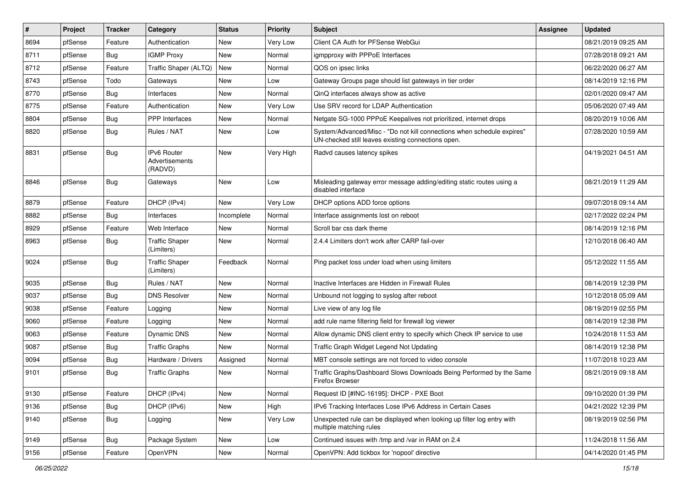| $\vert$ # | Project | <b>Tracker</b> | Category                                        | <b>Status</b> | <b>Priority</b> | <b>Subject</b>                                                                                                               | <b>Assignee</b> | <b>Updated</b>      |
|-----------|---------|----------------|-------------------------------------------------|---------------|-----------------|------------------------------------------------------------------------------------------------------------------------------|-----------------|---------------------|
| 8694      | pfSense | Feature        | Authentication                                  | New           | Very Low        | Client CA Auth for PFSense WebGui                                                                                            |                 | 08/21/2019 09:25 AM |
| 8711      | pfSense | <b>Bug</b>     | <b>IGMP Proxy</b>                               | New           | Normal          | igmpproxy with PPPoE Interfaces                                                                                              |                 | 07/28/2018 09:21 AM |
| 8712      | pfSense | Feature        | Traffic Shaper (ALTQ)                           | New           | Normal          | QOS on ipsec links                                                                                                           |                 | 06/22/2020 06:27 AM |
| 8743      | pfSense | Todo           | Gateways                                        | New           | Low             | Gateway Groups page should list gateways in tier order                                                                       |                 | 08/14/2019 12:16 PM |
| 8770      | pfSense | <b>Bug</b>     | Interfaces                                      | <b>New</b>    | Normal          | QinQ interfaces always show as active                                                                                        |                 | 02/01/2020 09:47 AM |
| 8775      | pfSense | Feature        | Authentication                                  | New           | Very Low        | Use SRV record for LDAP Authentication                                                                                       |                 | 05/06/2020 07:49 AM |
| 8804      | pfSense | Bug            | <b>PPP</b> Interfaces                           | New           | Normal          | Netgate SG-1000 PPPoE Keepalives not prioritized, internet drops                                                             |                 | 08/20/2019 10:06 AM |
| 8820      | pfSense | Bug            | Rules / NAT                                     | New           | Low             | System/Advanced/Misc - "Do not kill connections when schedule expires"<br>UN-checked still leaves existing connections open. |                 | 07/28/2020 10:59 AM |
| 8831      | pfSense | Bug            | <b>IPv6 Router</b><br>Advertisements<br>(RADVD) | <b>New</b>    | Very High       | Radvd causes latency spikes                                                                                                  |                 | 04/19/2021 04:51 AM |
| 8846      | pfSense | <b>Bug</b>     | Gateways                                        | New           | Low             | Misleading gateway error message adding/editing static routes using a<br>disabled interface                                  |                 | 08/21/2019 11:29 AM |
| 8879      | pfSense | Feature        | DHCP (IPv4)                                     | <b>New</b>    | Very Low        | DHCP options ADD force options                                                                                               |                 | 09/07/2018 09:14 AM |
| 8882      | pfSense | Bug            | Interfaces                                      | Incomplete    | Normal          | Interface assignments lost on reboot                                                                                         |                 | 02/17/2022 02:24 PM |
| 8929      | pfSense | Feature        | Web Interface                                   | New           | Normal          | Scroll bar css dark theme                                                                                                    |                 | 08/14/2019 12:16 PM |
| 8963      | pfSense | <b>Bug</b>     | <b>Traffic Shaper</b><br>(Limiters)             | New           | Normal          | 2.4.4 Limiters don't work after CARP fail-over                                                                               |                 | 12/10/2018 06:40 AM |
| 9024      | pfSense | <b>Bug</b>     | <b>Traffic Shaper</b><br>(Limiters)             | Feedback      | Normal          | Ping packet loss under load when using limiters                                                                              |                 | 05/12/2022 11:55 AM |
| 9035      | pfSense | Bug            | Rules / NAT                                     | New           | Normal          | Inactive Interfaces are Hidden in Firewall Rules                                                                             |                 | 08/14/2019 12:39 PM |
| 9037      | pfSense | <b>Bug</b>     | <b>DNS Resolver</b>                             | New           | Normal          | Unbound not logging to syslog after reboot                                                                                   |                 | 10/12/2018 05:09 AM |
| 9038      | pfSense | Feature        | Logging                                         | <b>New</b>    | Normal          | Live view of any log file                                                                                                    |                 | 08/19/2019 02:55 PM |
| 9060      | pfSense | Feature        | Logging                                         | New           | Normal          | add rule name filtering field for firewall log viewer                                                                        |                 | 08/14/2019 12:38 PM |
| 9063      | pfSense | Feature        | Dynamic DNS                                     | <b>New</b>    | Normal          | Allow dynamic DNS client entry to specify which Check IP service to use                                                      |                 | 10/24/2018 11:53 AM |
| 9087      | pfSense | Bug            | <b>Traffic Graphs</b>                           | New           | Normal          | Traffic Graph Widget Legend Not Updating                                                                                     |                 | 08/14/2019 12:38 PM |
| 9094      | pfSense | <b>Bug</b>     | Hardware / Drivers                              | Assigned      | Normal          | MBT console settings are not forced to video console                                                                         |                 | 11/07/2018 10:23 AM |
| 9101      | pfSense | Bug            | <b>Traffic Graphs</b>                           | <b>New</b>    | Normal          | Traffic Graphs/Dashboard Slows Downloads Being Performed by the Same<br><b>Firefox Browser</b>                               |                 | 08/21/2019 09:18 AM |
| 9130      | pfSense | Feature        | DHCP (IPv4)                                     | New           | Normal          | Request ID [#INC-16195]: DHCP - PXE Boot                                                                                     |                 | 09/10/2020 01:39 PM |
| 9136      | pfSense | <b>Bug</b>     | DHCP (IPv6)                                     | New           | High            | IPv6 Tracking Interfaces Lose IPv6 Address in Certain Cases                                                                  |                 | 04/21/2022 12:39 PM |
| 9140      | pfSense | <b>Bug</b>     | Logging                                         | New           | Very Low        | Unexpected rule can be displayed when looking up filter log entry with<br>multiple matching rules                            |                 | 08/19/2019 02:56 PM |
| 9149      | pfSense | <b>Bug</b>     | Package System                                  | New           | Low             | Continued issues with /tmp and /var in RAM on 2.4                                                                            |                 | 11/24/2018 11:56 AM |
| 9156      | pfSense | Feature        | OpenVPN                                         | New           | Normal          | OpenVPN: Add tickbox for 'nopool' directive                                                                                  |                 | 04/14/2020 01:45 PM |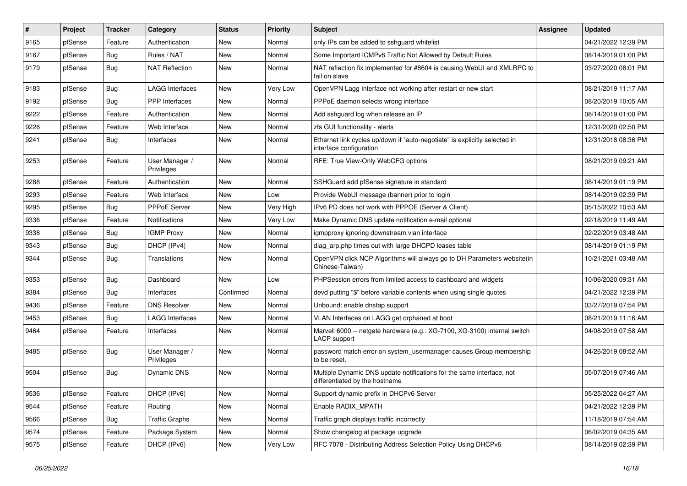| $\vert$ # | Project | <b>Tracker</b> | Category                     | <b>Status</b> | <b>Priority</b> | <b>Subject</b>                                                                                          | <b>Assignee</b> | <b>Updated</b>      |
|-----------|---------|----------------|------------------------------|---------------|-----------------|---------------------------------------------------------------------------------------------------------|-----------------|---------------------|
| 9165      | pfSense | Feature        | Authentication               | New           | Normal          | only IPs can be added to sshguard whitelist                                                             |                 | 04/21/2022 12:39 PM |
| 9167      | pfSense | <b>Bug</b>     | Rules / NAT                  | <b>New</b>    | Normal          | Some Important ICMPv6 Traffic Not Allowed by Default Rules                                              |                 | 08/14/2019 01:00 PM |
| 9179      | pfSense | <b>Bug</b>     | <b>NAT Reflection</b>        | New           | Normal          | NAT reflection fix implemented for #8604 is causing WebUI and XMLRPC to<br>fail on slave                |                 | 03/27/2020 08:01 PM |
| 9183      | pfSense | Bug            | <b>LAGG Interfaces</b>       | <b>New</b>    | Very Low        | OpenVPN Lagg Interface not working after restart or new start                                           |                 | 08/21/2019 11:17 AM |
| 9192      | pfSense | <b>Bug</b>     | PPP Interfaces               | <b>New</b>    | Normal          | PPPoE daemon selects wrong interface                                                                    |                 | 08/20/2019 10:05 AM |
| 9222      | pfSense | Feature        | Authentication               | New           | Normal          | Add sshguard log when release an IP                                                                     |                 | 08/14/2019 01:00 PM |
| 9226      | pfSense | Feature        | Web Interface                | <b>New</b>    | Normal          | zfs GUI functionality - alerts                                                                          |                 | 12/31/2020 02:50 PM |
| 9241      | pfSense | Bug            | Interfaces                   | New           | Normal          | Ethernet link cycles up/down if "auto-negotiate" is explicitly selected in<br>interface configuration   |                 | 12/31/2018 08:36 PM |
| 9253      | pfSense | Feature        | User Manager /<br>Privileges | <b>New</b>    | Normal          | RFE: True View-Only WebCFG options                                                                      |                 | 08/21/2019 09:21 AM |
| 9288      | pfSense | Feature        | Authentication               | New           | Normal          | SSHGuard add pfSense signature in standard                                                              |                 | 08/14/2019 01:19 PM |
| 9293      | pfSense | Feature        | Web Interface                | New           | Low             | Provide WebUI message (banner) prior to login                                                           |                 | 08/14/2019 02:39 PM |
| 9295      | pfSense | <b>Bug</b>     | PPPoE Server                 | <b>New</b>    | Very High       | IPv6 PD does not work with PPPOE (Server & Client)                                                      |                 | 05/15/2022 10:53 AM |
| 9336      | pfSense | Feature        | Notifications                | <b>New</b>    | Very Low        | Make Dynamic DNS update notification e-mail optional                                                    |                 | 02/18/2019 11:49 AM |
| 9338      | pfSense | Bug            | <b>IGMP Proxy</b>            | New           | Normal          | igmpproxy ignoring downstream vlan interface                                                            |                 | 02/22/2019 03:48 AM |
| 9343      | pfSense | <b>Bug</b>     | DHCP (IPv4)                  | <b>New</b>    | Normal          | diag_arp.php times out with large DHCPD leases table                                                    |                 | 08/14/2019 01:19 PM |
| 9344      | pfSense | <b>Bug</b>     | Translations                 | New           | Normal          | OpenVPN click NCP Algorithms will always go to DH Parameters website(in<br>Chinese-Taiwan)              |                 | 10/21/2021 03:48 AM |
| 9353      | pfSense | <b>Bug</b>     | Dashboard                    | New           | Low             | PHPSession errors from limited access to dashboard and widgets                                          |                 | 10/06/2020 09:31 AM |
| 9384      | pfSense | <b>Bug</b>     | Interfaces                   | Confirmed     | Normal          | devd putting "\$" before variable contents when using single quotes                                     |                 | 04/21/2022 12:39 PM |
| 9436      | pfSense | Feature        | <b>DNS Resolver</b>          | New           | Normal          | Unbound: enable dnstap support                                                                          |                 | 03/27/2019 07:54 PM |
| 9453      | pfSense | <b>Bug</b>     | <b>LAGG Interfaces</b>       | New           | Normal          | VLAN Interfaces on LAGG get orphaned at boot                                                            |                 | 08/21/2019 11:16 AM |
| 9464      | pfSense | Feature        | Interfaces                   | New           | Normal          | Marvell 6000 -- netgate hardware (e.g.: XG-7100, XG-3100) internal switch<br>LACP support               |                 | 04/08/2019 07:58 AM |
| 9485      | pfSense | Bug            | User Manager /<br>Privileges | New           | Normal          | password match error on system_usermanager causes Group membership<br>to be reset.                      |                 | 04/26/2019 08:52 AM |
| 9504      | pfSense | <b>Bug</b>     | Dynamic DNS                  | New           | Normal          | Multiple Dynamic DNS update notifications for the same interface, not<br>differentiated by the hostname |                 | 05/07/2019 07:46 AM |
| 9536      | pfSense | Feature        | DHCP (IPv6)                  | New           | Normal          | Support dynamic prefix in DHCPv6 Server                                                                 |                 | 05/25/2022 04:27 AM |
| 9544      | pfSense | Feature        | Routing                      | New           | Normal          | Enable RADIX_MPATH                                                                                      |                 | 04/21/2022 12:39 PM |
| 9566      | pfSense | <b>Bug</b>     | <b>Traffic Graphs</b>        | New           | Normal          | Traffic graph displays traffic incorrectly                                                              |                 | 11/18/2019 07:54 AM |
| 9574      | pfSense | Feature        | Package System               | New           | Normal          | Show changelog at package upgrade                                                                       |                 | 06/02/2019 04:35 AM |
| 9575      | pfSense | Feature        | DHCP (IPv6)                  | New           | Very Low        | RFC 7078 - Distributing Address Selection Policy Using DHCPv6                                           |                 | 08/14/2019 02:39 PM |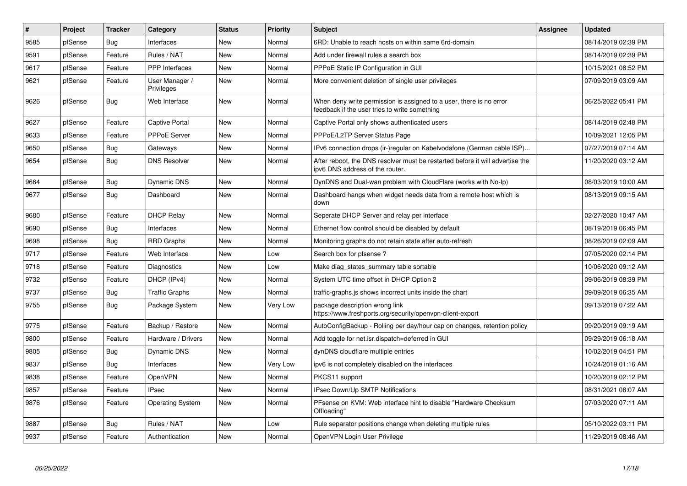| $\vert$ # | <b>Project</b> | <b>Tracker</b> | Category                     | <b>Status</b> | <b>Priority</b> | <b>Subject</b>                                                                                                       | <b>Assignee</b> | <b>Updated</b>      |
|-----------|----------------|----------------|------------------------------|---------------|-----------------|----------------------------------------------------------------------------------------------------------------------|-----------------|---------------------|
| 9585      | pfSense        | <b>Bug</b>     | Interfaces                   | <b>New</b>    | Normal          | 6RD: Unable to reach hosts on within same 6rd-domain                                                                 |                 | 08/14/2019 02:39 PM |
| 9591      | pfSense        | Feature        | Rules / NAT                  | <b>New</b>    | Normal          | Add under firewall rules a search box                                                                                |                 | 08/14/2019 02:39 PM |
| 9617      | pfSense        | Feature        | PPP Interfaces               | <b>New</b>    | Normal          | PPPoE Static IP Configuration in GUI                                                                                 |                 | 10/15/2021 08:52 PM |
| 9621      | pfSense        | Feature        | User Manager /<br>Privileges | <b>New</b>    | Normal          | More convenient deletion of single user privileges                                                                   |                 | 07/09/2019 03:09 AM |
| 9626      | pfSense        | Bug            | Web Interface                | <b>New</b>    | Normal          | When deny write permission is assigned to a user, there is no error<br>feedback if the user tries to write something |                 | 06/25/2022 05:41 PM |
| 9627      | pfSense        | Feature        | <b>Captive Portal</b>        | <b>New</b>    | Normal          | Captive Portal only shows authenticated users                                                                        |                 | 08/14/2019 02:48 PM |
| 9633      | pfSense        | Feature        | PPPoE Server                 | <b>New</b>    | Normal          | PPPoE/L2TP Server Status Page                                                                                        |                 | 10/09/2021 12:05 PM |
| 9650      | pfSense        | Bug            | Gateways                     | <b>New</b>    | Normal          | IPv6 connection drops (ir-)regular on Kabelvodafone (German cable ISP)                                               |                 | 07/27/2019 07:14 AM |
| 9654      | pfSense        | <b>Bug</b>     | <b>DNS Resolver</b>          | <b>New</b>    | Normal          | After reboot, the DNS resolver must be restarted before it will advertise the<br>ipv6 DNS address of the router.     |                 | 11/20/2020 03:12 AM |
| 9664      | pfSense        | Bug            | <b>Dynamic DNS</b>           | <b>New</b>    | Normal          | DynDNS and Dual-wan problem with CloudFlare (works with No-Ip)                                                       |                 | 08/03/2019 10:00 AM |
| 9677      | pfSense        | Bug            | Dashboard                    | <b>New</b>    | Normal          | Dashboard hangs when widget needs data from a remote host which is<br>down                                           |                 | 08/13/2019 09:15 AM |
| 9680      | pfSense        | Feature        | <b>DHCP Relay</b>            | <b>New</b>    | Normal          | Seperate DHCP Server and relay per interface                                                                         |                 | 02/27/2020 10:47 AM |
| 9690      | pfSense        | <b>Bug</b>     | Interfaces                   | <b>New</b>    | Normal          | Ethernet flow control should be disabled by default                                                                  |                 | 08/19/2019 06:45 PM |
| 9698      | pfSense        | <b>Bug</b>     | <b>RRD Graphs</b>            | <b>New</b>    | Normal          | Monitoring graphs do not retain state after auto-refresh                                                             |                 | 08/26/2019 02:09 AM |
| 9717      | pfSense        | Feature        | Web Interface                | New           | Low             | Search box for pfsense?                                                                                              |                 | 07/05/2020 02:14 PM |
| 9718      | pfSense        | Feature        | Diagnostics                  | <b>New</b>    | Low             | Make diag_states_summary table sortable                                                                              |                 | 10/06/2020 09:12 AM |
| 9732      | pfSense        | Feature        | DHCP (IPv4)                  | <b>New</b>    | Normal          | System UTC time offset in DHCP Option 2                                                                              |                 | 09/06/2019 08:39 PM |
| 9737      | pfSense        | Bug            | <b>Traffic Graphs</b>        | <b>New</b>    | Normal          | traffic-graphs is shows incorrect units inside the chart                                                             |                 | 09/09/2019 06:35 AM |
| 9755      | pfSense        | Bug            | Package System               | New           | Very Low        | package description wrong link<br>https://www.freshports.org/security/openvpn-client-export                          |                 | 09/13/2019 07:22 AM |
| 9775      | pfSense        | Feature        | Backup / Restore             | <b>New</b>    | Normal          | AutoConfigBackup - Rolling per day/hour cap on changes, retention policy                                             |                 | 09/20/2019 09:19 AM |
| 9800      | pfSense        | Feature        | Hardware / Drivers           | New           | Normal          | Add toggle for net.isr.dispatch=deferred in GUI                                                                      |                 | 09/29/2019 06:18 AM |
| 9805      | pfSense        | Bug            | Dynamic DNS                  | New           | Normal          | dynDNS cloudflare multiple entries                                                                                   |                 | 10/02/2019 04:51 PM |
| 9837      | pfSense        | <b>Bug</b>     | Interfaces                   | <b>New</b>    | Very Low        | ipv6 is not completely disabled on the interfaces                                                                    |                 | 10/24/2019 01:16 AM |
| 9838      | pfSense        | Feature        | OpenVPN                      | New           | Normal          | PKCS11 support                                                                                                       |                 | 10/20/2019 02:12 PM |
| 9857      | pfSense        | Feature        | <b>IPsec</b>                 | New           | Normal          | <b>IPsec Down/Up SMTP Notifications</b>                                                                              |                 | 08/31/2021 08:07 AM |
| 9876      | pfSense        | Feature        | <b>Operating System</b>      | New           | Normal          | PFsense on KVM: Web interface hint to disable "Hardware Checksum"<br>Offloading"                                     |                 | 07/03/2020 07:11 AM |
| 9887      | pfSense        | Bug            | Rules / NAT                  | New           | Low             | Rule separator positions change when deleting multiple rules                                                         |                 | 05/10/2022 03:11 PM |
| 9937      | pfSense        | Feature        | Authentication               | <b>New</b>    | Normal          | OpenVPN Login User Privilege                                                                                         |                 | 11/29/2019 08:46 AM |